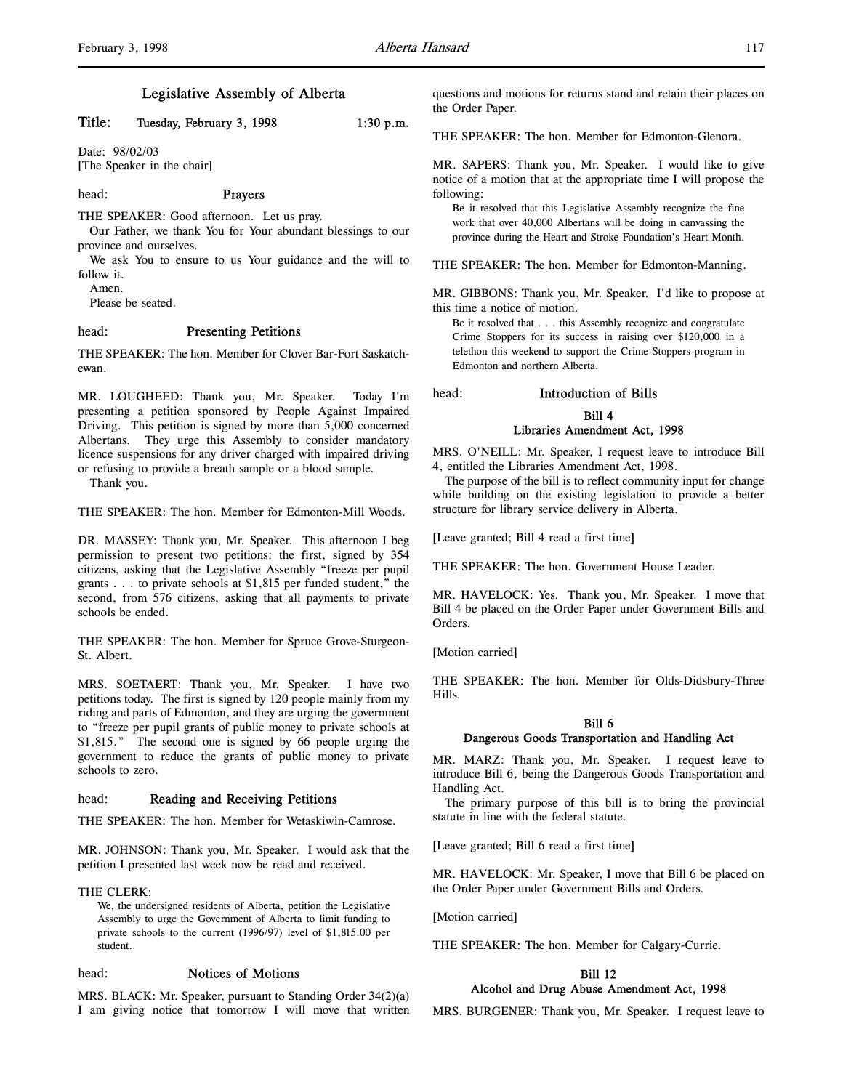# Title: Tuesday, February 3, 1998 1:30 p.m.

Date: 98/02/03 [The Speaker in the chair]

#### head: Prayers

THE SPEAKER: Good afternoon. Let us pray.

Our Father, we thank You for Your abundant blessings to our province and ourselves.

We ask You to ensure to us Your guidance and the will to follow it.

Amen.

Please be seated.

# head: Presenting Petitions

THE SPEAKER: The hon. Member for Clover Bar-Fort Saskatchewan.

MR. LOUGHEED: Thank you, Mr. Speaker. Today I'm presenting a petition sponsored by People Against Impaired Driving. This petition is signed by more than 5,000 concerned Albertans. They urge this Assembly to consider mandatory licence suspensions for any driver charged with impaired driving or refusing to provide a breath sample or a blood sample.

Thank you.

THE SPEAKER: The hon. Member for Edmonton-Mill Woods.

DR. MASSEY: Thank you, Mr. Speaker. This afternoon I beg permission to present two petitions: the first, signed by 354 citizens, asking that the Legislative Assembly "freeze per pupil grants . . . to private schools at \$1,815 per funded student," the second, from 576 citizens, asking that all payments to private schools be ended.

THE SPEAKER: The hon. Member for Spruce Grove-Sturgeon-St. Albert.

MRS. SOETAERT: Thank you, Mr. Speaker. I have two petitions today. The first is signed by 120 people mainly from my riding and parts of Edmonton, and they are urging the government to "freeze per pupil grants of public money to private schools at \$1,815." The second one is signed by 66 people urging the government to reduce the grants of public money to private schools to zero.

#### head: Reading and Receiving Petitions

THE SPEAKER: The hon. Member for Wetaskiwin-Camrose.

MR. JOHNSON: Thank you, Mr. Speaker. I would ask that the petition I presented last week now be read and received.

#### THE CLERK:

We, the undersigned residents of Alberta, petition the Legislative Assembly to urge the Government of Alberta to limit funding to private schools to the current (1996/97) level of \$1,815.00 per student.

#### head: Notices of Motions

MRS. BLACK: Mr. Speaker, pursuant to Standing Order 34(2)(a) I am giving notice that tomorrow I will move that written questions and motions for returns stand and retain their places on the Order Paper.

THE SPEAKER: The hon. Member for Edmonton-Glenora.

MR. SAPERS: Thank you, Mr. Speaker. I would like to give notice of a motion that at the appropriate time I will propose the following:

Be it resolved that this Legislative Assembly recognize the fine work that over 40,000 Albertans will be doing in canvassing the province during the Heart and Stroke Foundation's Heart Month.

THE SPEAKER: The hon. Member for Edmonton-Manning.

MR. GIBBONS: Thank you, Mr. Speaker. I'd like to propose at this time a notice of motion.

Be it resolved that . . . this Assembly recognize and congratulate Crime Stoppers for its success in raising over \$120,000 in a telethon this weekend to support the Crime Stoppers program in Edmonton and northern Alberta.

# head: Introduction of Bills

# Bill 4 Libraries Amendment Act, 1998

MRS. O'NEILL: Mr. Speaker, I request leave to introduce Bill 4, entitled the Libraries Amendment Act, 1998.

The purpose of the bill is to reflect community input for change while building on the existing legislation to provide a better structure for library service delivery in Alberta.

[Leave granted; Bill 4 read a first time]

THE SPEAKER: The hon. Government House Leader.

MR. HAVELOCK: Yes. Thank you, Mr. Speaker. I move that Bill 4 be placed on the Order Paper under Government Bills and Orders.

[Motion carried]

THE SPEAKER: The hon. Member for Olds-Didsbury-Three Hills.

#### Bill 6 Dangerous Goods Transportation and Handling Act

MR. MARZ: Thank you, Mr. Speaker. I request leave to introduce Bill 6, being the Dangerous Goods Transportation and Handling Act.

The primary purpose of this bill is to bring the provincial statute in line with the federal statute.

[Leave granted; Bill 6 read a first time]

MR. HAVELOCK: Mr. Speaker, I move that Bill 6 be placed on the Order Paper under Government Bills and Orders.

[Motion carried]

THE SPEAKER: The hon. Member for Calgary-Currie.

# Bill 12 Alcohol and Drug Abuse Amendment Act, 1998

MRS. BURGENER: Thank you, Mr. Speaker. I request leave to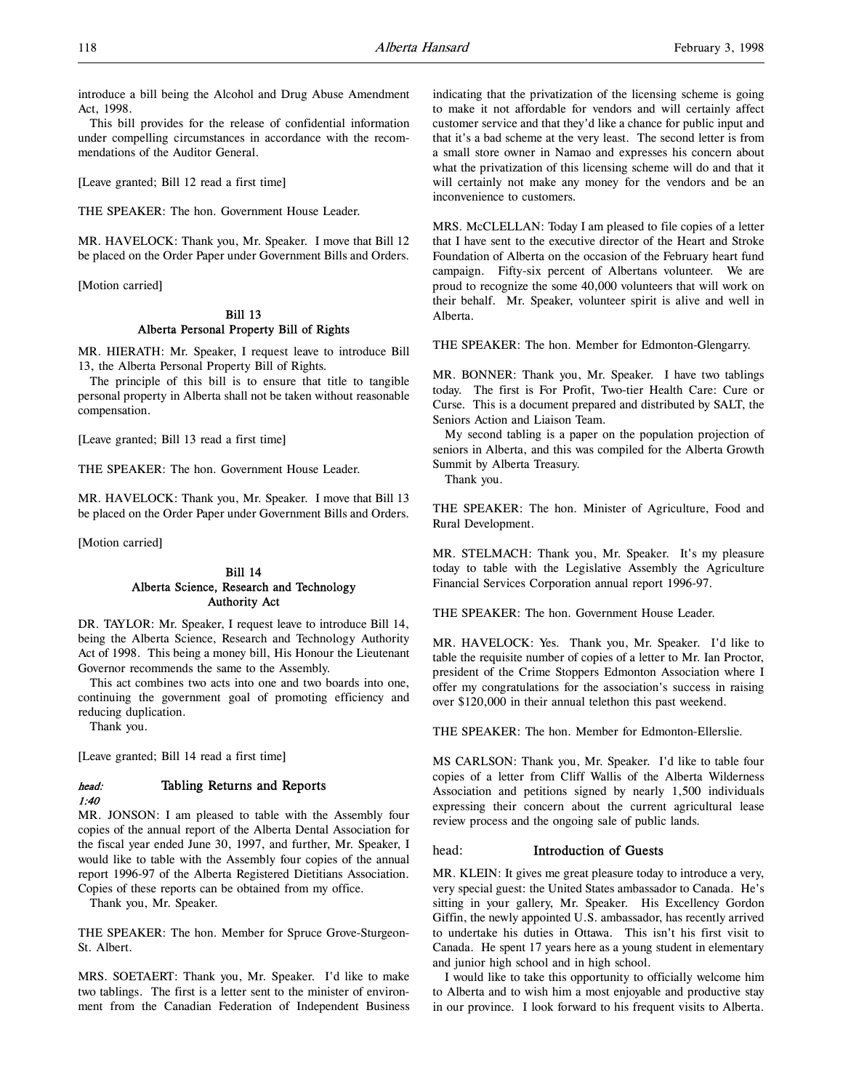introduce a bill being the Alcohol and Drug Abuse Amendment Act, 1998.

This bill provides for the release of confidential information under compelling circumstances in accordance with the recommendations of the Auditor General.

[Leave granted; Bill 12 read a first time]

THE SPEAKER: The hon. Government House Leader.

MR. HAVELOCK: Thank you, Mr. Speaker. I move that Bill 12 be placed on the Order Paper under Government Bills and Orders.

[Motion carried]

## Bill 13 Alberta Personal Property Bill of Rights

MR. HIERATH: Mr. Speaker, I request leave to introduce Bill 13, the Alberta Personal Property Bill of Rights.

The principle of this bill is to ensure that title to tangible personal property in Alberta shall not be taken without reasonable compensation.

[Leave granted; Bill 13 read a first time]

THE SPEAKER: The hon. Government House Leader.

MR. HAVELOCK: Thank you, Mr. Speaker. I move that Bill 13 be placed on the Order Paper under Government Bills and Orders.

[Motion carried]

# Bill 14 Alberta Science, Research and Technology Authority Act

DR. TAYLOR: Mr. Speaker, I request leave to introduce Bill 14, being the Alberta Science, Research and Technology Authority Act of 1998. This being a money bill, His Honour the Lieutenant Governor recommends the same to the Assembly.

This act combines two acts into one and two boards into one, continuing the government goal of promoting efficiency and reducing duplication.

Thank you.

[Leave granted; Bill 14 read a first time]

# head: Tabling Returns and Reports

1:40

MR. JONSON: I am pleased to table with the Assembly four copies of the annual report of the Alberta Dental Association for the fiscal year ended June 30, 1997, and further, Mr. Speaker, I would like to table with the Assembly four copies of the annual report 1996-97 of the Alberta Registered Dietitians Association. Copies of these reports can be obtained from my office.

Thank you, Mr. Speaker.

THE SPEAKER: The hon. Member for Spruce Grove-Sturgeon-St. Albert.

MRS. SOETAERT: Thank you, Mr. Speaker. I'd like to make two tablings. The first is a letter sent to the minister of environment from the Canadian Federation of Independent Business indicating that the privatization of the licensing scheme is going to make it not affordable for vendors and will certainly affect customer service and that they'd like a chance for public input and that it's a bad scheme at the very least. The second letter is from a small store owner in Namao and expresses his concern about what the privatization of this licensing scheme will do and that it will certainly not make any money for the vendors and be an inconvenience to customers.

MRS. McCLELLAN: Today I am pleased to file copies of a letter that I have sent to the executive director of the Heart and Stroke Foundation of Alberta on the occasion of the February heart fund campaign. Fifty-six percent of Albertans volunteer. We are proud to recognize the some 40,000 volunteers that will work on their behalf. Mr. Speaker, volunteer spirit is alive and well in Alberta.

THE SPEAKER: The hon. Member for Edmonton-Glengarry.

MR. BONNER: Thank you, Mr. Speaker. I have two tablings today. The first is For Profit, Two-tier Health Care: Cure or Curse. This is a document prepared and distributed by SALT, the Seniors Action and Liaison Team.

My second tabling is a paper on the population projection of seniors in Alberta, and this was compiled for the Alberta Growth Summit by Alberta Treasury.

Thank you.

THE SPEAKER: The hon. Minister of Agriculture, Food and Rural Development.

MR. STELMACH: Thank you, Mr. Speaker. It's my pleasure today to table with the Legislative Assembly the Agriculture Financial Services Corporation annual report 1996-97.

THE SPEAKER: The hon. Government House Leader.

MR. HAVELOCK: Yes. Thank you, Mr. Speaker. I'd like to table the requisite number of copies of a letter to Mr. Ian Proctor, president of the Crime Stoppers Edmonton Association where I offer my congratulations for the association's success in raising over \$120,000 in their annual telethon this past weekend.

THE SPEAKER: The hon. Member for Edmonton-Ellerslie.

MS CARLSON: Thank you, Mr. Speaker. I'd like to table four copies of a letter from Cliff Wallis of the Alberta Wilderness Association and petitions signed by nearly 1,500 individuals expressing their concern about the current agricultural lease review process and the ongoing sale of public lands.

# head: Introduction of Guests

MR. KLEIN: It gives me great pleasure today to introduce a very, very special guest: the United States ambassador to Canada. He's sitting in your gallery, Mr. Speaker. His Excellency Gordon Giffin, the newly appointed U.S. ambassador, has recently arrived to undertake his duties in Ottawa. This isn't his first visit to Canada. He spent 17 years here as a young student in elementary and junior high school and in high school.

I would like to take this opportunity to officially welcome him to Alberta and to wish him a most enjoyable and productive stay in our province. I look forward to his frequent visits to Alberta.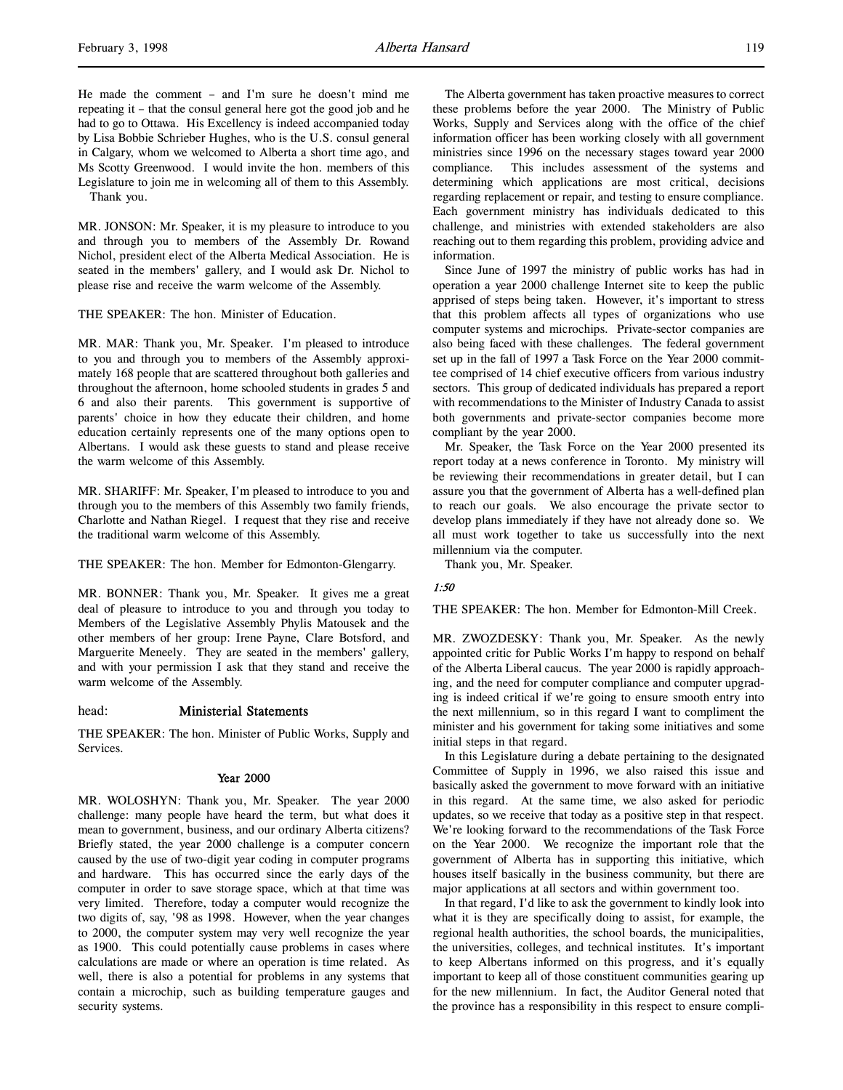He made the comment – and I'm sure he doesn't mind me repeating it – that the consul general here got the good job and he had to go to Ottawa. His Excellency is indeed accompanied today by Lisa Bobbie Schrieber Hughes, who is the U.S. consul general in Calgary, whom we welcomed to Alberta a short time ago, and Ms Scotty Greenwood. I would invite the hon. members of this Legislature to join me in welcoming all of them to this Assembly. Thank you.

MR. JONSON: Mr. Speaker, it is my pleasure to introduce to you and through you to members of the Assembly Dr. Rowand Nichol, president elect of the Alberta Medical Association. He is seated in the members' gallery, and I would ask Dr. Nichol to please rise and receive the warm welcome of the Assembly.

THE SPEAKER: The hon. Minister of Education.

MR. MAR: Thank you, Mr. Speaker. I'm pleased to introduce to you and through you to members of the Assembly approximately 168 people that are scattered throughout both galleries and throughout the afternoon, home schooled students in grades 5 and 6 and also their parents. This government is supportive of parents' choice in how they educate their children, and home education certainly represents one of the many options open to Albertans. I would ask these guests to stand and please receive the warm welcome of this Assembly.

MR. SHARIFF: Mr. Speaker, I'm pleased to introduce to you and through you to the members of this Assembly two family friends, Charlotte and Nathan Riegel. I request that they rise and receive the traditional warm welcome of this Assembly.

THE SPEAKER: The hon. Member for Edmonton-Glengarry.

MR. BONNER: Thank you, Mr. Speaker. It gives me a great deal of pleasure to introduce to you and through you today to Members of the Legislative Assembly Phylis Matousek and the other members of her group: Irene Payne, Clare Botsford, and Marguerite Meneely. They are seated in the members' gallery, and with your permission I ask that they stand and receive the warm welcome of the Assembly.

# head: Ministerial Statements

THE SPEAKER: The hon. Minister of Public Works, Supply and Services.

#### Year 2000

MR. WOLOSHYN: Thank you, Mr. Speaker. The year 2000 challenge: many people have heard the term, but what does it mean to government, business, and our ordinary Alberta citizens? Briefly stated, the year 2000 challenge is a computer concern caused by the use of two-digit year coding in computer programs and hardware. This has occurred since the early days of the computer in order to save storage space, which at that time was very limited. Therefore, today a computer would recognize the two digits of, say, '98 as 1998. However, when the year changes to 2000, the computer system may very well recognize the year as 1900. This could potentially cause problems in cases where calculations are made or where an operation is time related. As well, there is also a potential for problems in any systems that contain a microchip, such as building temperature gauges and security systems.

The Alberta government has taken proactive measures to correct these problems before the year 2000. The Ministry of Public Works, Supply and Services along with the office of the chief information officer has been working closely with all government ministries since 1996 on the necessary stages toward year 2000 compliance. This includes assessment of the systems and determining which applications are most critical, decisions regarding replacement or repair, and testing to ensure compliance. Each government ministry has individuals dedicated to this challenge, and ministries with extended stakeholders are also reaching out to them regarding this problem, providing advice and information.

Since June of 1997 the ministry of public works has had in operation a year 2000 challenge Internet site to keep the public apprised of steps being taken. However, it's important to stress that this problem affects all types of organizations who use computer systems and microchips. Private-sector companies are also being faced with these challenges. The federal government set up in the fall of 1997 a Task Force on the Year 2000 committee comprised of 14 chief executive officers from various industry sectors. This group of dedicated individuals has prepared a report with recommendations to the Minister of Industry Canada to assist both governments and private-sector companies become more compliant by the year 2000.

Mr. Speaker, the Task Force on the Year 2000 presented its report today at a news conference in Toronto. My ministry will be reviewing their recommendations in greater detail, but I can assure you that the government of Alberta has a well-defined plan to reach our goals. We also encourage the private sector to develop plans immediately if they have not already done so. We all must work together to take us successfully into the next millennium via the computer.

Thank you, Mr. Speaker.

## 1:50

THE SPEAKER: The hon. Member for Edmonton-Mill Creek.

MR. ZWOZDESKY: Thank you, Mr. Speaker. As the newly appointed critic for Public Works I'm happy to respond on behalf of the Alberta Liberal caucus. The year 2000 is rapidly approaching, and the need for computer compliance and computer upgrading is indeed critical if we're going to ensure smooth entry into the next millennium, so in this regard I want to compliment the minister and his government for taking some initiatives and some initial steps in that regard.

In this Legislature during a debate pertaining to the designated Committee of Supply in 1996, we also raised this issue and basically asked the government to move forward with an initiative in this regard. At the same time, we also asked for periodic updates, so we receive that today as a positive step in that respect. We're looking forward to the recommendations of the Task Force on the Year 2000. We recognize the important role that the government of Alberta has in supporting this initiative, which houses itself basically in the business community, but there are major applications at all sectors and within government too.

In that regard, I'd like to ask the government to kindly look into what it is they are specifically doing to assist, for example, the regional health authorities, the school boards, the municipalities, the universities, colleges, and technical institutes. It's important to keep Albertans informed on this progress, and it's equally important to keep all of those constituent communities gearing up for the new millennium. In fact, the Auditor General noted that the province has a responsibility in this respect to ensure compli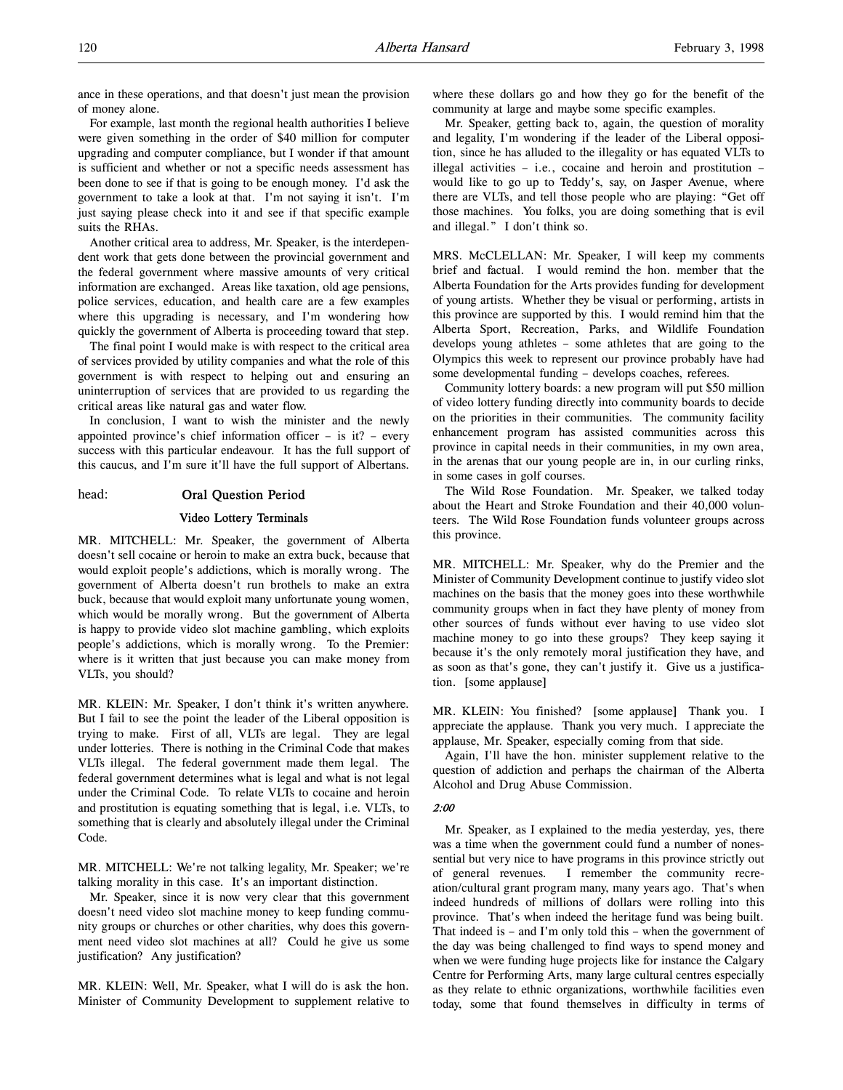ance in these operations, and that doesn't just mean the provision of money alone.

For example, last month the regional health authorities I believe were given something in the order of \$40 million for computer upgrading and computer compliance, but I wonder if that amount is sufficient and whether or not a specific needs assessment has been done to see if that is going to be enough money. I'd ask the government to take a look at that. I'm not saying it isn't. I'm just saying please check into it and see if that specific example suits the RHAs.

Another critical area to address, Mr. Speaker, is the interdependent work that gets done between the provincial government and the federal government where massive amounts of very critical information are exchanged. Areas like taxation, old age pensions, police services, education, and health care are a few examples where this upgrading is necessary, and I'm wondering how quickly the government of Alberta is proceeding toward that step.

The final point I would make is with respect to the critical area of services provided by utility companies and what the role of this government is with respect to helping out and ensuring an uninterruption of services that are provided to us regarding the critical areas like natural gas and water flow.

In conclusion, I want to wish the minister and the newly appointed province's chief information officer – is it? – every success with this particular endeavour. It has the full support of this caucus, and I'm sure it'll have the full support of Albertans.

head: Oral Question Period

#### Video Lottery Terminals

MR. MITCHELL: Mr. Speaker, the government of Alberta doesn't sell cocaine or heroin to make an extra buck, because that would exploit people's addictions, which is morally wrong. The government of Alberta doesn't run brothels to make an extra buck, because that would exploit many unfortunate young women, which would be morally wrong. But the government of Alberta is happy to provide video slot machine gambling, which exploits people's addictions, which is morally wrong. To the Premier: where is it written that just because you can make money from VLTs, you should?

MR. KLEIN: Mr. Speaker, I don't think it's written anywhere. But I fail to see the point the leader of the Liberal opposition is trying to make. First of all, VLTs are legal. They are legal under lotteries. There is nothing in the Criminal Code that makes VLTs illegal. The federal government made them legal. The federal government determines what is legal and what is not legal under the Criminal Code. To relate VLTs to cocaine and heroin and prostitution is equating something that is legal, i.e. VLTs, to something that is clearly and absolutely illegal under the Criminal Code.

MR. MITCHELL: We're not talking legality, Mr. Speaker; we're talking morality in this case. It's an important distinction.

Mr. Speaker, since it is now very clear that this government doesn't need video slot machine money to keep funding community groups or churches or other charities, why does this government need video slot machines at all? Could he give us some justification? Any justification?

MR. KLEIN: Well, Mr. Speaker, what I will do is ask the hon. Minister of Community Development to supplement relative to where these dollars go and how they go for the benefit of the community at large and maybe some specific examples.

Mr. Speaker, getting back to, again, the question of morality and legality, I'm wondering if the leader of the Liberal opposition, since he has alluded to the illegality or has equated VLTs to illegal activities – i.e., cocaine and heroin and prostitution – would like to go up to Teddy's, say, on Jasper Avenue, where there are VLTs, and tell those people who are playing: "Get off those machines. You folks, you are doing something that is evil and illegal." I don't think so.

MRS. McCLELLAN: Mr. Speaker, I will keep my comments brief and factual. I would remind the hon. member that the Alberta Foundation for the Arts provides funding for development of young artists. Whether they be visual or performing, artists in this province are supported by this. I would remind him that the Alberta Sport, Recreation, Parks, and Wildlife Foundation develops young athletes – some athletes that are going to the Olympics this week to represent our province probably have had some developmental funding – develops coaches, referees.

Community lottery boards: a new program will put \$50 million of video lottery funding directly into community boards to decide on the priorities in their communities. The community facility enhancement program has assisted communities across this province in capital needs in their communities, in my own area, in the arenas that our young people are in, in our curling rinks, in some cases in golf courses.

The Wild Rose Foundation. Mr. Speaker, we talked today about the Heart and Stroke Foundation and their 40,000 volunteers. The Wild Rose Foundation funds volunteer groups across this province.

MR. MITCHELL: Mr. Speaker, why do the Premier and the Minister of Community Development continue to justify video slot machines on the basis that the money goes into these worthwhile community groups when in fact they have plenty of money from other sources of funds without ever having to use video slot machine money to go into these groups? They keep saying it because it's the only remotely moral justification they have, and as soon as that's gone, they can't justify it. Give us a justification. [some applause]

MR. KLEIN: You finished? [some applause] Thank you. I appreciate the applause. Thank you very much. I appreciate the applause, Mr. Speaker, especially coming from that side.

Again, I'll have the hon. minister supplement relative to the question of addiction and perhaps the chairman of the Alberta Alcohol and Drug Abuse Commission.

## 2:00

Mr. Speaker, as I explained to the media yesterday, yes, there was a time when the government could fund a number of nonessential but very nice to have programs in this province strictly out of general revenues. I remember the community recreation/cultural grant program many, many years ago. That's when indeed hundreds of millions of dollars were rolling into this province. That's when indeed the heritage fund was being built. That indeed is – and I'm only told this – when the government of the day was being challenged to find ways to spend money and when we were funding huge projects like for instance the Calgary Centre for Performing Arts, many large cultural centres especially as they relate to ethnic organizations, worthwhile facilities even today, some that found themselves in difficulty in terms of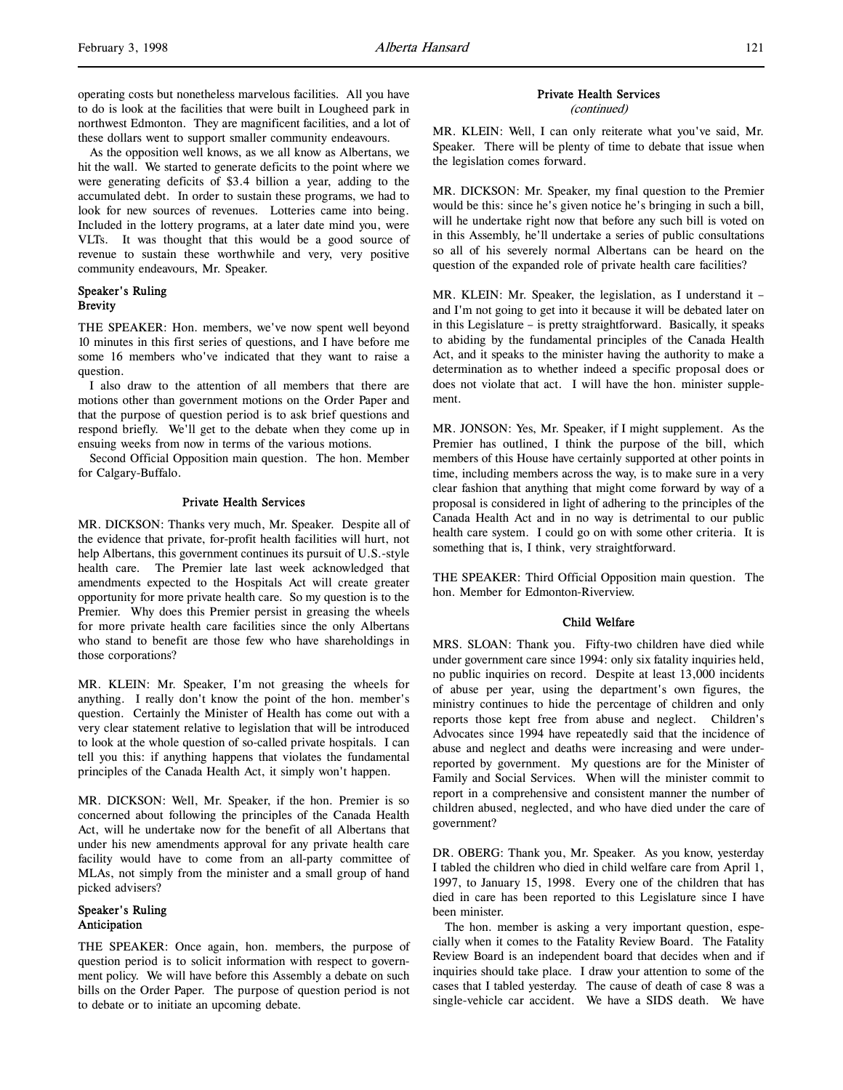As the opposition well knows, as we all know as Albertans, we hit the wall. We started to generate deficits to the point where we were generating deficits of \$3.4 billion a year, adding to the accumulated debt. In order to sustain these programs, we had to look for new sources of revenues. Lotteries came into being. Included in the lottery programs, at a later date mind you, were VLTs. It was thought that this would be a good source of revenue to sustain these worthwhile and very, very positive community endeavours, Mr. Speaker.

# Speaker's Ruling **Brevity**

THE SPEAKER: Hon. members, we've now spent well beyond 10 minutes in this first series of questions, and I have before me some 16 members who've indicated that they want to raise a question.

I also draw to the attention of all members that there are motions other than government motions on the Order Paper and that the purpose of question period is to ask brief questions and respond briefly. We'll get to the debate when they come up in ensuing weeks from now in terms of the various motions.

Second Official Opposition main question. The hon. Member for Calgary-Buffalo.

## Private Health Services

MR. DICKSON: Thanks very much, Mr. Speaker. Despite all of the evidence that private, for-profit health facilities will hurt, not help Albertans, this government continues its pursuit of U.S.-style health care. The Premier late last week acknowledged that amendments expected to the Hospitals Act will create greater opportunity for more private health care. So my question is to the Premier. Why does this Premier persist in greasing the wheels for more private health care facilities since the only Albertans who stand to benefit are those few who have shareholdings in those corporations?

MR. KLEIN: Mr. Speaker, I'm not greasing the wheels for anything. I really don't know the point of the hon. member's question. Certainly the Minister of Health has come out with a very clear statement relative to legislation that will be introduced to look at the whole question of so-called private hospitals. I can tell you this: if anything happens that violates the fundamental principles of the Canada Health Act, it simply won't happen.

MR. DICKSON: Well, Mr. Speaker, if the hon. Premier is so concerned about following the principles of the Canada Health Act, will he undertake now for the benefit of all Albertans that under his new amendments approval for any private health care facility would have to come from an all-party committee of MLAs, not simply from the minister and a small group of hand picked advisers?

# Speaker's Ruling Anticipation

THE SPEAKER: Once again, hon. members, the purpose of question period is to solicit information with respect to government policy. We will have before this Assembly a debate on such bills on the Order Paper. The purpose of question period is not to debate or to initiate an upcoming debate.

# Private Health Services

(continued)

MR. KLEIN: Well, I can only reiterate what you've said, Mr. Speaker. There will be plenty of time to debate that issue when the legislation comes forward.

MR. DICKSON: Mr. Speaker, my final question to the Premier would be this: since he's given notice he's bringing in such a bill, will he undertake right now that before any such bill is voted on in this Assembly, he'll undertake a series of public consultations so all of his severely normal Albertans can be heard on the question of the expanded role of private health care facilities?

MR. KLEIN: Mr. Speaker, the legislation, as I understand it – and I'm not going to get into it because it will be debated later on in this Legislature – is pretty straightforward. Basically, it speaks to abiding by the fundamental principles of the Canada Health Act, and it speaks to the minister having the authority to make a determination as to whether indeed a specific proposal does or does not violate that act. I will have the hon. minister supplement.

MR. JONSON: Yes, Mr. Speaker, if I might supplement. As the Premier has outlined, I think the purpose of the bill, which members of this House have certainly supported at other points in time, including members across the way, is to make sure in a very clear fashion that anything that might come forward by way of a proposal is considered in light of adhering to the principles of the Canada Health Act and in no way is detrimental to our public health care system. I could go on with some other criteria. It is something that is, I think, very straightforward.

THE SPEAKER: Third Official Opposition main question. The hon. Member for Edmonton-Riverview.

# Child Welfare

MRS. SLOAN: Thank you. Fifty-two children have died while under government care since 1994: only six fatality inquiries held, no public inquiries on record. Despite at least 13,000 incidents of abuse per year, using the department's own figures, the ministry continues to hide the percentage of children and only reports those kept free from abuse and neglect. Children's Advocates since 1994 have repeatedly said that the incidence of abuse and neglect and deaths were increasing and were underreported by government. My questions are for the Minister of Family and Social Services. When will the minister commit to report in a comprehensive and consistent manner the number of children abused, neglected, and who have died under the care of government?

DR. OBERG: Thank you, Mr. Speaker. As you know, yesterday I tabled the children who died in child welfare care from April 1, 1997, to January 15, 1998. Every one of the children that has died in care has been reported to this Legislature since I have been minister.

The hon. member is asking a very important question, especially when it comes to the Fatality Review Board. The Fatality Review Board is an independent board that decides when and if inquiries should take place. I draw your attention to some of the cases that I tabled yesterday. The cause of death of case 8 was a single-vehicle car accident. We have a SIDS death. We have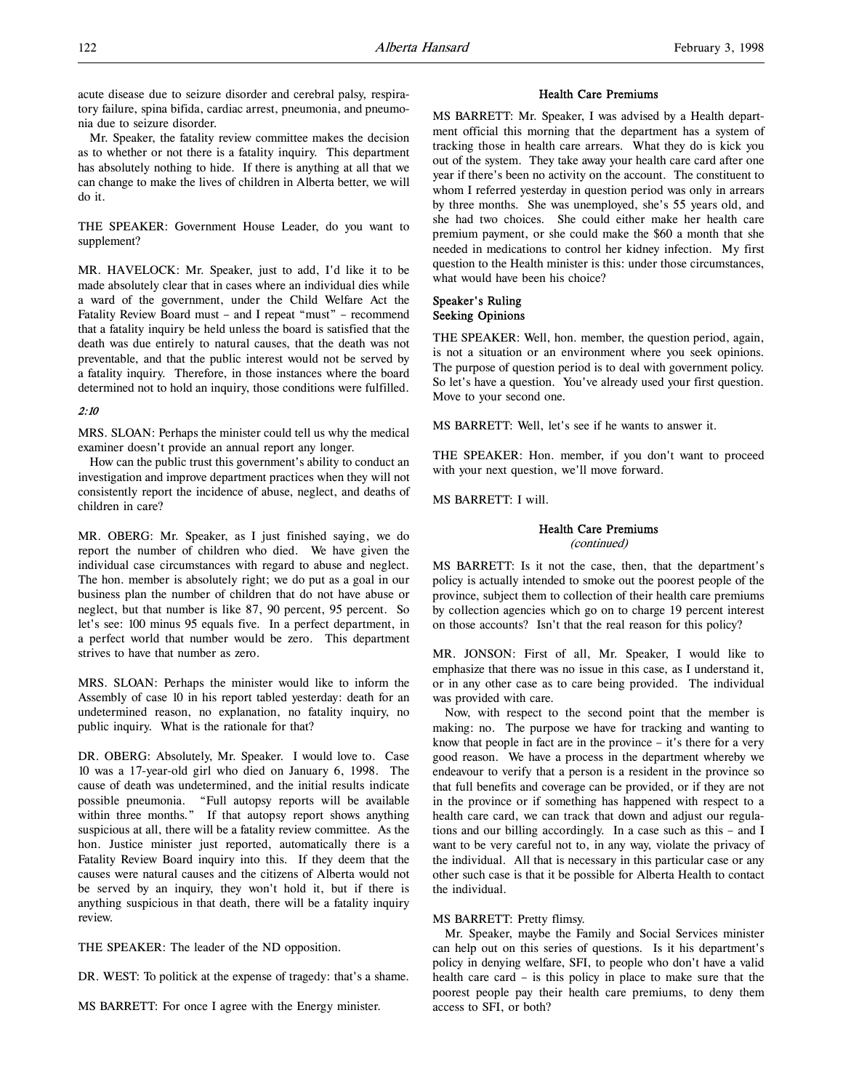acute disease due to seizure disorder and cerebral palsy, respiratory failure, spina bifida, cardiac arrest, pneumonia, and pneumonia due to seizure disorder.

Mr. Speaker, the fatality review committee makes the decision as to whether or not there is a fatality inquiry. This department has absolutely nothing to hide. If there is anything at all that we can change to make the lives of children in Alberta better, we will do it.

THE SPEAKER: Government House Leader, do you want to supplement?

MR. HAVELOCK: Mr. Speaker, just to add, I'd like it to be made absolutely clear that in cases where an individual dies while a ward of the government, under the Child Welfare Act the Fatality Review Board must – and I repeat "must" – recommend that a fatality inquiry be held unless the board is satisfied that the death was due entirely to natural causes, that the death was not preventable, and that the public interest would not be served by a fatality inquiry. Therefore, in those instances where the board determined not to hold an inquiry, those conditions were fulfilled.

## 2:10

MRS. SLOAN: Perhaps the minister could tell us why the medical examiner doesn't provide an annual report any longer.

How can the public trust this government's ability to conduct an investigation and improve department practices when they will not consistently report the incidence of abuse, neglect, and deaths of children in care?

MR. OBERG: Mr. Speaker, as I just finished saying, we do report the number of children who died. We have given the individual case circumstances with regard to abuse and neglect. The hon. member is absolutely right; we do put as a goal in our business plan the number of children that do not have abuse or neglect, but that number is like 87, 90 percent, 95 percent. So let's see: 100 minus 95 equals five. In a perfect department, in a perfect world that number would be zero. This department strives to have that number as zero.

MRS. SLOAN: Perhaps the minister would like to inform the Assembly of case 10 in his report tabled yesterday: death for an undetermined reason, no explanation, no fatality inquiry, no public inquiry. What is the rationale for that?

DR. OBERG: Absolutely, Mr. Speaker. I would love to. Case 10 was a 17-year-old girl who died on January 6, 1998. The cause of death was undetermined, and the initial results indicate possible pneumonia. "Full autopsy reports will be available within three months." If that autopsy report shows anything suspicious at all, there will be a fatality review committee. As the hon. Justice minister just reported, automatically there is a Fatality Review Board inquiry into this. If they deem that the causes were natural causes and the citizens of Alberta would not be served by an inquiry, they won't hold it, but if there is anything suspicious in that death, there will be a fatality inquiry review.

THE SPEAKER: The leader of the ND opposition.

DR. WEST: To politick at the expense of tragedy: that's a shame.

MS BARRETT: For once I agree with the Energy minister.

#### Health Care Premiums

MS BARRETT: Mr. Speaker, I was advised by a Health department official this morning that the department has a system of tracking those in health care arrears. What they do is kick you out of the system. They take away your health care card after one year if there's been no activity on the account. The constituent to whom I referred yesterday in question period was only in arrears by three months. She was unemployed, she's 55 years old, and she had two choices. She could either make her health care premium payment, or she could make the \$60 a month that she needed in medications to control her kidney infection. My first question to the Health minister is this: under those circumstances, what would have been his choice?

# Speaker's Ruling Seeking Opinions

THE SPEAKER: Well, hon. member, the question period, again, is not a situation or an environment where you seek opinions. The purpose of question period is to deal with government policy. So let's have a question. You've already used your first question. Move to your second one.

MS BARRETT: Well, let's see if he wants to answer it.

THE SPEAKER: Hon. member, if you don't want to proceed with your next question, we'll move forward.

MS BARRETT: I will.

# Health Care Premiums

(continued)

MS BARRETT: Is it not the case, then, that the department's policy is actually intended to smoke out the poorest people of the province, subject them to collection of their health care premiums by collection agencies which go on to charge 19 percent interest on those accounts? Isn't that the real reason for this policy?

MR. JONSON: First of all, Mr. Speaker, I would like to emphasize that there was no issue in this case, as I understand it, or in any other case as to care being provided. The individual was provided with care.

Now, with respect to the second point that the member is making: no. The purpose we have for tracking and wanting to know that people in fact are in the province – it's there for a very good reason. We have a process in the department whereby we endeavour to verify that a person is a resident in the province so that full benefits and coverage can be provided, or if they are not in the province or if something has happened with respect to a health care card, we can track that down and adjust our regulations and our billing accordingly. In a case such as this – and I want to be very careful not to, in any way, violate the privacy of the individual. All that is necessary in this particular case or any other such case is that it be possible for Alberta Health to contact the individual.

## MS BARRETT: Pretty flimsy.

Mr. Speaker, maybe the Family and Social Services minister can help out on this series of questions. Is it his department's policy in denying welfare, SFI, to people who don't have a valid health care card – is this policy in place to make sure that the poorest people pay their health care premiums, to deny them access to SFI, or both?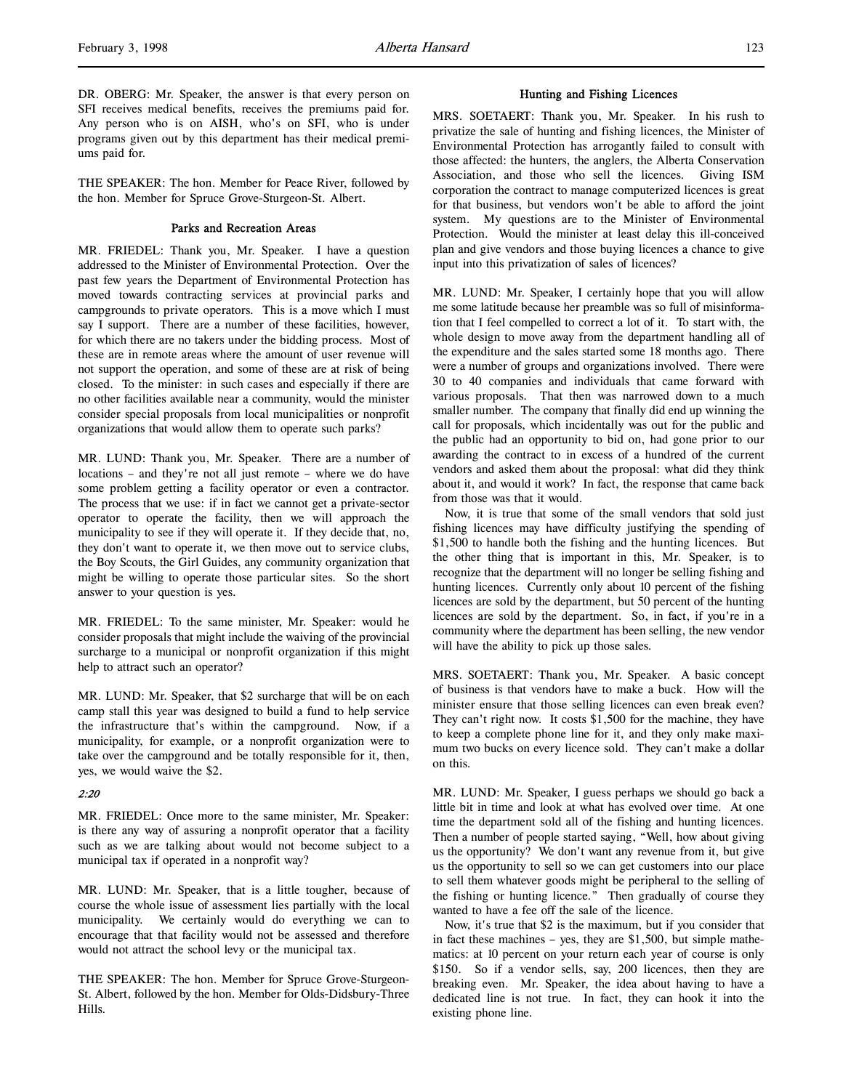DR. OBERG: Mr. Speaker, the answer is that every person on SFI receives medical benefits, receives the premiums paid for. Any person who is on AISH, who's on SFI, who is under programs given out by this department has their medical premiums paid for.

THE SPEAKER: The hon. Member for Peace River, followed by the hon. Member for Spruce Grove-Sturgeon-St. Albert.

# Parks and Recreation Areas

MR. FRIEDEL: Thank you, Mr. Speaker. I have a question addressed to the Minister of Environmental Protection. Over the past few years the Department of Environmental Protection has moved towards contracting services at provincial parks and campgrounds to private operators. This is a move which I must say I support. There are a number of these facilities, however, for which there are no takers under the bidding process. Most of these are in remote areas where the amount of user revenue will not support the operation, and some of these are at risk of being closed. To the minister: in such cases and especially if there are no other facilities available near a community, would the minister consider special proposals from local municipalities or nonprofit organizations that would allow them to operate such parks?

MR. LUND: Thank you, Mr. Speaker. There are a number of locations – and they're not all just remote – where we do have some problem getting a facility operator or even a contractor. The process that we use: if in fact we cannot get a private-sector operator to operate the facility, then we will approach the municipality to see if they will operate it. If they decide that, no, they don't want to operate it, we then move out to service clubs, the Boy Scouts, the Girl Guides, any community organization that might be willing to operate those particular sites. So the short answer to your question is yes.

MR. FRIEDEL: To the same minister, Mr. Speaker: would he consider proposals that might include the waiving of the provincial surcharge to a municipal or nonprofit organization if this might help to attract such an operator?

MR. LUND: Mr. Speaker, that \$2 surcharge that will be on each camp stall this year was designed to build a fund to help service the infrastructure that's within the campground. Now, if a municipality, for example, or a nonprofit organization were to take over the campground and be totally responsible for it, then, yes, we would waive the \$2.

# $2.20$

MR. FRIEDEL: Once more to the same minister, Mr. Speaker: is there any way of assuring a nonprofit operator that a facility such as we are talking about would not become subject to a municipal tax if operated in a nonprofit way?

MR. LUND: Mr. Speaker, that is a little tougher, because of course the whole issue of assessment lies partially with the local municipality. We certainly would do everything we can to encourage that that facility would not be assessed and therefore would not attract the school levy or the municipal tax.

THE SPEAKER: The hon. Member for Spruce Grove-Sturgeon-St. Albert, followed by the hon. Member for Olds-Didsbury-Three Hills.

#### Hunting and Fishing Licences

MRS. SOETAERT: Thank you, Mr. Speaker. In his rush to privatize the sale of hunting and fishing licences, the Minister of Environmental Protection has arrogantly failed to consult with those affected: the hunters, the anglers, the Alberta Conservation Association, and those who sell the licences. Giving ISM corporation the contract to manage computerized licences is great for that business, but vendors won't be able to afford the joint system. My questions are to the Minister of Environmental Protection. Would the minister at least delay this ill-conceived plan and give vendors and those buying licences a chance to give input into this privatization of sales of licences?

MR. LUND: Mr. Speaker, I certainly hope that you will allow me some latitude because her preamble was so full of misinformation that I feel compelled to correct a lot of it. To start with, the whole design to move away from the department handling all of the expenditure and the sales started some 18 months ago. There were a number of groups and organizations involved. There were 30 to 40 companies and individuals that came forward with various proposals. That then was narrowed down to a much smaller number. The company that finally did end up winning the call for proposals, which incidentally was out for the public and the public had an opportunity to bid on, had gone prior to our awarding the contract to in excess of a hundred of the current vendors and asked them about the proposal: what did they think about it, and would it work? In fact, the response that came back from those was that it would.

Now, it is true that some of the small vendors that sold just fishing licences may have difficulty justifying the spending of \$1,500 to handle both the fishing and the hunting licences. But the other thing that is important in this, Mr. Speaker, is to recognize that the department will no longer be selling fishing and hunting licences. Currently only about 10 percent of the fishing licences are sold by the department, but 50 percent of the hunting licences are sold by the department. So, in fact, if you're in a community where the department has been selling, the new vendor will have the ability to pick up those sales.

MRS. SOETAERT: Thank you, Mr. Speaker. A basic concept of business is that vendors have to make a buck. How will the minister ensure that those selling licences can even break even? They can't right now. It costs \$1,500 for the machine, they have to keep a complete phone line for it, and they only make maximum two bucks on every licence sold. They can't make a dollar on this.

MR. LUND: Mr. Speaker, I guess perhaps we should go back a little bit in time and look at what has evolved over time. At one time the department sold all of the fishing and hunting licences. Then a number of people started saying, "Well, how about giving us the opportunity? We don't want any revenue from it, but give us the opportunity to sell so we can get customers into our place to sell them whatever goods might be peripheral to the selling of the fishing or hunting licence." Then gradually of course they wanted to have a fee off the sale of the licence.

Now, it's true that \$2 is the maximum, but if you consider that in fact these machines – yes, they are \$1,500, but simple mathematics: at 10 percent on your return each year of course is only \$150. So if a vendor sells, say, 200 licences, then they are breaking even. Mr. Speaker, the idea about having to have a dedicated line is not true. In fact, they can hook it into the existing phone line.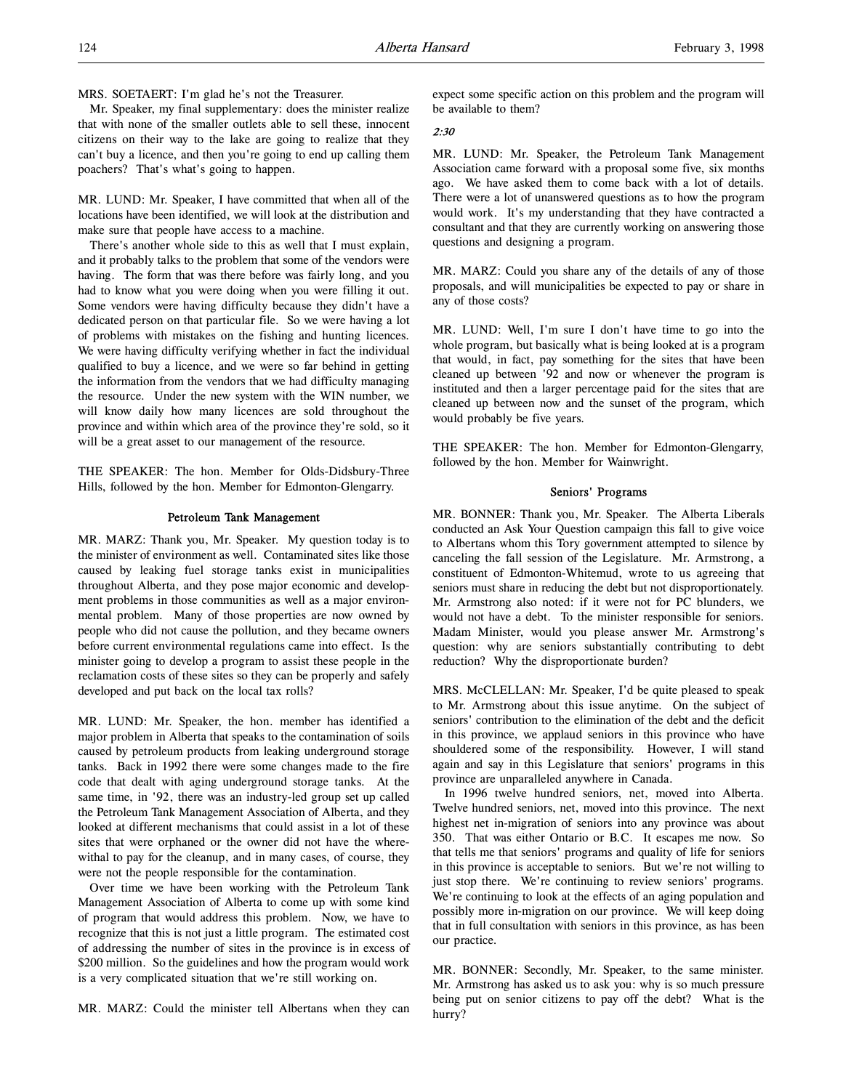MRS. SOETAERT: I'm glad he's not the Treasurer.

Mr. Speaker, my final supplementary: does the minister realize that with none of the smaller outlets able to sell these, innocent citizens on their way to the lake are going to realize that they can't buy a licence, and then you're going to end up calling them poachers? That's what's going to happen.

MR. LUND: Mr. Speaker, I have committed that when all of the locations have been identified, we will look at the distribution and make sure that people have access to a machine.

There's another whole side to this as well that I must explain, and it probably talks to the problem that some of the vendors were having. The form that was there before was fairly long, and you had to know what you were doing when you were filling it out. Some vendors were having difficulty because they didn't have a dedicated person on that particular file. So we were having a lot of problems with mistakes on the fishing and hunting licences. We were having difficulty verifying whether in fact the individual qualified to buy a licence, and we were so far behind in getting the information from the vendors that we had difficulty managing the resource. Under the new system with the WIN number, we will know daily how many licences are sold throughout the province and within which area of the province they're sold, so it will be a great asset to our management of the resource.

THE SPEAKER: The hon. Member for Olds-Didsbury-Three Hills, followed by the hon. Member for Edmonton-Glengarry.

#### Petroleum Tank Management

MR. MARZ: Thank you, Mr. Speaker. My question today is to the minister of environment as well. Contaminated sites like those caused by leaking fuel storage tanks exist in municipalities throughout Alberta, and they pose major economic and development problems in those communities as well as a major environmental problem. Many of those properties are now owned by people who did not cause the pollution, and they became owners before current environmental regulations came into effect. Is the minister going to develop a program to assist these people in the reclamation costs of these sites so they can be properly and safely developed and put back on the local tax rolls?

MR. LUND: Mr. Speaker, the hon. member has identified a major problem in Alberta that speaks to the contamination of soils caused by petroleum products from leaking underground storage tanks. Back in 1992 there were some changes made to the fire code that dealt with aging underground storage tanks. At the same time, in '92, there was an industry-led group set up called the Petroleum Tank Management Association of Alberta, and they looked at different mechanisms that could assist in a lot of these sites that were orphaned or the owner did not have the wherewithal to pay for the cleanup, and in many cases, of course, they were not the people responsible for the contamination.

Over time we have been working with the Petroleum Tank Management Association of Alberta to come up with some kind of program that would address this problem. Now, we have to recognize that this is not just a little program. The estimated cost of addressing the number of sites in the province is in excess of \$200 million. So the guidelines and how the program would work is a very complicated situation that we're still working on.

MR. MARZ: Could the minister tell Albertans when they can

expect some specific action on this problem and the program will be available to them?

#### 2:30

MR. LUND: Mr. Speaker, the Petroleum Tank Management Association came forward with a proposal some five, six months ago. We have asked them to come back with a lot of details. There were a lot of unanswered questions as to how the program would work. It's my understanding that they have contracted a consultant and that they are currently working on answering those questions and designing a program.

MR. MARZ: Could you share any of the details of any of those proposals, and will municipalities be expected to pay or share in any of those costs?

MR. LUND: Well, I'm sure I don't have time to go into the whole program, but basically what is being looked at is a program that would, in fact, pay something for the sites that have been cleaned up between '92 and now or whenever the program is instituted and then a larger percentage paid for the sites that are cleaned up between now and the sunset of the program, which would probably be five years.

THE SPEAKER: The hon. Member for Edmonton-Glengarry, followed by the hon. Member for Wainwright.

## Seniors' Programs

MR. BONNER: Thank you, Mr. Speaker. The Alberta Liberals conducted an Ask Your Question campaign this fall to give voice to Albertans whom this Tory government attempted to silence by canceling the fall session of the Legislature. Mr. Armstrong, a constituent of Edmonton-Whitemud, wrote to us agreeing that seniors must share in reducing the debt but not disproportionately. Mr. Armstrong also noted: if it were not for PC blunders, we would not have a debt. To the minister responsible for seniors. Madam Minister, would you please answer Mr. Armstrong's question: why are seniors substantially contributing to debt reduction? Why the disproportionate burden?

MRS. McCLELLAN: Mr. Speaker, I'd be quite pleased to speak to Mr. Armstrong about this issue anytime. On the subject of seniors' contribution to the elimination of the debt and the deficit in this province, we applaud seniors in this province who have shouldered some of the responsibility. However, I will stand again and say in this Legislature that seniors' programs in this province are unparalleled anywhere in Canada.

In 1996 twelve hundred seniors, net, moved into Alberta. Twelve hundred seniors, net, moved into this province. The next highest net in-migration of seniors into any province was about 350. That was either Ontario or B.C. It escapes me now. So that tells me that seniors' programs and quality of life for seniors in this province is acceptable to seniors. But we're not willing to just stop there. We're continuing to review seniors' programs. We're continuing to look at the effects of an aging population and possibly more in-migration on our province. We will keep doing that in full consultation with seniors in this province, as has been our practice.

MR. BONNER: Secondly, Mr. Speaker, to the same minister. Mr. Armstrong has asked us to ask you: why is so much pressure being put on senior citizens to pay off the debt? What is the hurry?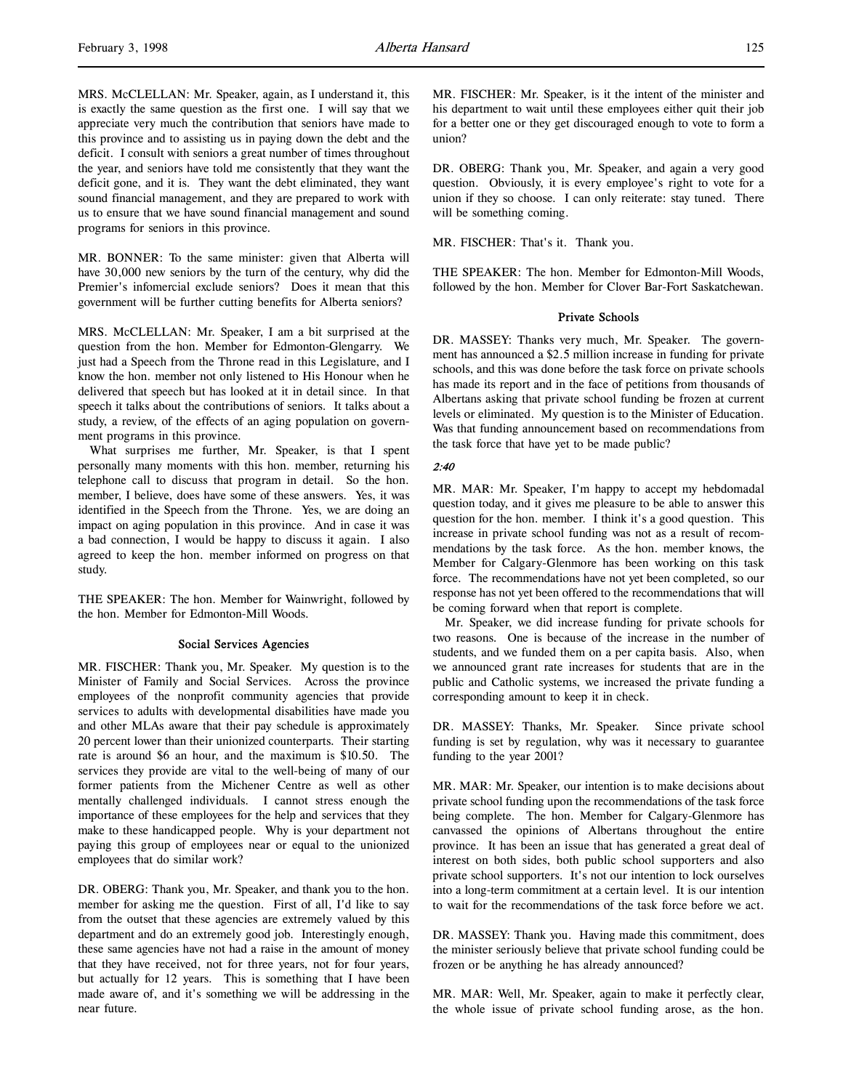MRS. McCLELLAN: Mr. Speaker, again, as I understand it, this is exactly the same question as the first one. I will say that we appreciate very much the contribution that seniors have made to this province and to assisting us in paying down the debt and the deficit. I consult with seniors a great number of times throughout the year, and seniors have told me consistently that they want the deficit gone, and it is. They want the debt eliminated, they want sound financial management, and they are prepared to work with us to ensure that we have sound financial management and sound programs for seniors in this province.

MR. BONNER: To the same minister: given that Alberta will have 30,000 new seniors by the turn of the century, why did the Premier's infomercial exclude seniors? Does it mean that this government will be further cutting benefits for Alberta seniors?

MRS. McCLELLAN: Mr. Speaker, I am a bit surprised at the question from the hon. Member for Edmonton-Glengarry. We just had a Speech from the Throne read in this Legislature, and I know the hon. member not only listened to His Honour when he delivered that speech but has looked at it in detail since. In that speech it talks about the contributions of seniors. It talks about a study, a review, of the effects of an aging population on government programs in this province.

What surprises me further, Mr. Speaker, is that I spent personally many moments with this hon. member, returning his telephone call to discuss that program in detail. So the hon. member, I believe, does have some of these answers. Yes, it was identified in the Speech from the Throne. Yes, we are doing an impact on aging population in this province. And in case it was a bad connection, I would be happy to discuss it again. I also agreed to keep the hon. member informed on progress on that study.

THE SPEAKER: The hon. Member for Wainwright, followed by the hon. Member for Edmonton-Mill Woods.

#### Social Services Agencies

MR. FISCHER: Thank you, Mr. Speaker. My question is to the Minister of Family and Social Services. Across the province employees of the nonprofit community agencies that provide services to adults with developmental disabilities have made you and other MLAs aware that their pay schedule is approximately 20 percent lower than their unionized counterparts. Their starting rate is around \$6 an hour, and the maximum is \$10.50. The services they provide are vital to the well-being of many of our former patients from the Michener Centre as well as other mentally challenged individuals. I cannot stress enough the importance of these employees for the help and services that they make to these handicapped people. Why is your department not paying this group of employees near or equal to the unionized employees that do similar work?

DR. OBERG: Thank you, Mr. Speaker, and thank you to the hon. member for asking me the question. First of all, I'd like to say from the outset that these agencies are extremely valued by this department and do an extremely good job. Interestingly enough, these same agencies have not had a raise in the amount of money that they have received, not for three years, not for four years, but actually for 12 years. This is something that I have been made aware of, and it's something we will be addressing in the near future.

MR. FISCHER: Mr. Speaker, is it the intent of the minister and his department to wait until these employees either quit their job for a better one or they get discouraged enough to vote to form a union?

DR. OBERG: Thank you, Mr. Speaker, and again a very good question. Obviously, it is every employee's right to vote for a union if they so choose. I can only reiterate: stay tuned. There will be something coming.

MR. FISCHER: That's it. Thank you.

THE SPEAKER: The hon. Member for Edmonton-Mill Woods, followed by the hon. Member for Clover Bar-Fort Saskatchewan.

# Private Schools

DR. MASSEY: Thanks very much, Mr. Speaker. The government has announced a \$2.5 million increase in funding for private schools, and this was done before the task force on private schools has made its report and in the face of petitions from thousands of Albertans asking that private school funding be frozen at current levels or eliminated. My question is to the Minister of Education. Was that funding announcement based on recommendations from the task force that have yet to be made public?

## 2:40

MR. MAR: Mr. Speaker, I'm happy to accept my hebdomadal question today, and it gives me pleasure to be able to answer this question for the hon. member. I think it's a good question. This increase in private school funding was not as a result of recommendations by the task force. As the hon. member knows, the Member for Calgary-Glenmore has been working on this task force. The recommendations have not yet been completed, so our response has not yet been offered to the recommendations that will be coming forward when that report is complete.

Mr. Speaker, we did increase funding for private schools for two reasons. One is because of the increase in the number of students, and we funded them on a per capita basis. Also, when we announced grant rate increases for students that are in the public and Catholic systems, we increased the private funding a corresponding amount to keep it in check.

DR. MASSEY: Thanks, Mr. Speaker. Since private school funding is set by regulation, why was it necessary to guarantee funding to the year 2001?

MR. MAR: Mr. Speaker, our intention is to make decisions about private school funding upon the recommendations of the task force being complete. The hon. Member for Calgary-Glenmore has canvassed the opinions of Albertans throughout the entire province. It has been an issue that has generated a great deal of interest on both sides, both public school supporters and also private school supporters. It's not our intention to lock ourselves into a long-term commitment at a certain level. It is our intention to wait for the recommendations of the task force before we act.

DR. MASSEY: Thank you. Having made this commitment, does the minister seriously believe that private school funding could be frozen or be anything he has already announced?

MR. MAR: Well, Mr. Speaker, again to make it perfectly clear, the whole issue of private school funding arose, as the hon.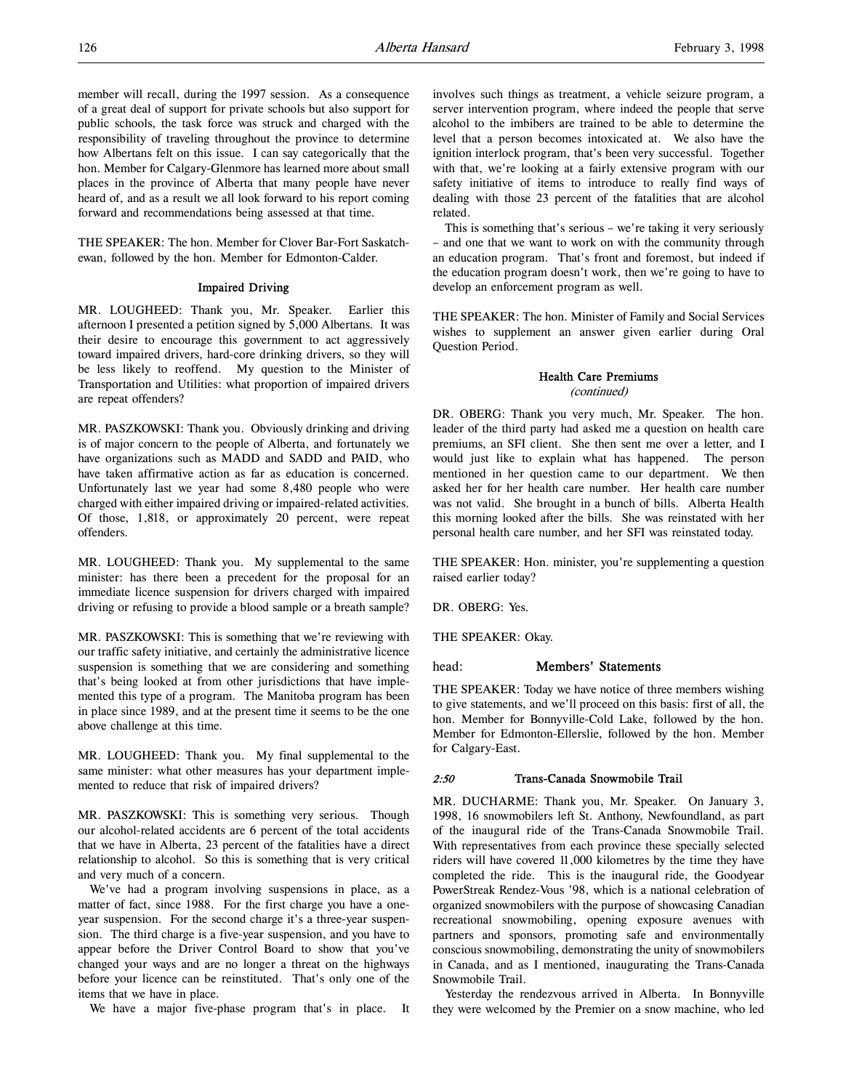member will recall, during the 1997 session. As a consequence of a great deal of support for private schools but also support for public schools, the task force was struck and charged with the responsibility of traveling throughout the province to determine how Albertans felt on this issue. I can say categorically that the hon. Member for Calgary-Glenmore has learned more about small places in the province of Alberta that many people have never heard of, and as a result we all look forward to his report coming forward and recommendations being assessed at that time.

THE SPEAKER: The hon. Member for Clover Bar-Fort Saskatchewan, followed by the hon. Member for Edmonton-Calder.

## Impaired Driving

MR. LOUGHEED: Thank you, Mr. Speaker. Earlier this afternoon I presented a petition signed by 5,000 Albertans. It was their desire to encourage this government to act aggressively toward impaired drivers, hard-core drinking drivers, so they will be less likely to reoffend. My question to the Minister of Transportation and Utilities: what proportion of impaired drivers are repeat offenders?

MR. PASZKOWSKI: Thank you. Obviously drinking and driving is of major concern to the people of Alberta, and fortunately we have organizations such as MADD and SADD and PAID, who have taken affirmative action as far as education is concerned. Unfortunately last we year had some 8,480 people who were charged with either impaired driving or impaired-related activities. Of those, 1,818, or approximately 20 percent, were repeat offenders.

MR. LOUGHEED: Thank you. My supplemental to the same minister: has there been a precedent for the proposal for an immediate licence suspension for drivers charged with impaired driving or refusing to provide a blood sample or a breath sample?

MR. PASZKOWSKI: This is something that we're reviewing with our traffic safety initiative, and certainly the administrative licence suspension is something that we are considering and something that's being looked at from other jurisdictions that have implemented this type of a program. The Manitoba program has been in place since 1989, and at the present time it seems to be the one above challenge at this time.

MR. LOUGHEED: Thank you. My final supplemental to the same minister: what other measures has your department implemented to reduce that risk of impaired drivers?

MR. PASZKOWSKI: This is something very serious. Though our alcohol-related accidents are 6 percent of the total accidents that we have in Alberta, 23 percent of the fatalities have a direct relationship to alcohol. So this is something that is very critical and very much of a concern.

We've had a program involving suspensions in place, as a matter of fact, since 1988. For the first charge you have a oneyear suspension. For the second charge it's a three-year suspension. The third charge is a five-year suspension, and you have to appear before the Driver Control Board to show that you've changed your ways and are no longer a threat on the highways before your licence can be reinstituted. That's only one of the items that we have in place.

We have a major five-phase program that's in place. It

involves such things as treatment, a vehicle seizure program, a server intervention program, where indeed the people that serve alcohol to the imbibers are trained to be able to determine the level that a person becomes intoxicated at. We also have the ignition interlock program, that's been very successful. Together with that, we're looking at a fairly extensive program with our safety initiative of items to introduce to really find ways of dealing with those 23 percent of the fatalities that are alcohol related.

This is something that's serious – we're taking it very seriously – and one that we want to work on with the community through an education program. That's front and foremost, but indeed if the education program doesn't work, then we're going to have to develop an enforcement program as well.

THE SPEAKER: The hon. Minister of Family and Social Services wishes to supplement an answer given earlier during Oral Question Period.

# Health Care Premiums (continued)

DR. OBERG: Thank you very much, Mr. Speaker. The hon. leader of the third party had asked me a question on health care premiums, an SFI client. She then sent me over a letter, and I would just like to explain what has happened. The person mentioned in her question came to our department. We then asked her for her health care number. Her health care number was not valid. She brought in a bunch of bills. Alberta Health this morning looked after the bills. She was reinstated with her personal health care number, and her SFI was reinstated today.

THE SPEAKER: Hon. minister, you're supplementing a question raised earlier today?

DR. OBERG: Yes.

THE SPEAKER: Okay.

# head: Members' Statements

THE SPEAKER: Today we have notice of three members wishing to give statements, and we'll proceed on this basis: first of all, the hon. Member for Bonnyville-Cold Lake, followed by the hon. Member for Edmonton-Ellerslie, followed by the hon. Member for Calgary-East.

# 2:50 Trans-Canada Snowmobile Trail

MR. DUCHARME: Thank you, Mr. Speaker. On January 3, 1998, 16 snowmobilers left St. Anthony, Newfoundland, as part of the inaugural ride of the Trans-Canada Snowmobile Trail. With representatives from each province these specially selected riders will have covered 11,000 kilometres by the time they have completed the ride. This is the inaugural ride, the Goodyear PowerStreak Rendez-Vous '98, which is a national celebration of organized snowmobilers with the purpose of showcasing Canadian recreational snowmobiling, opening exposure avenues with partners and sponsors, promoting safe and environmentally conscious snowmobiling, demonstrating the unity of snowmobilers in Canada, and as I mentioned, inaugurating the Trans-Canada Snowmobile Trail.

Yesterday the rendezvous arrived in Alberta. In Bonnyville they were welcomed by the Premier on a snow machine, who led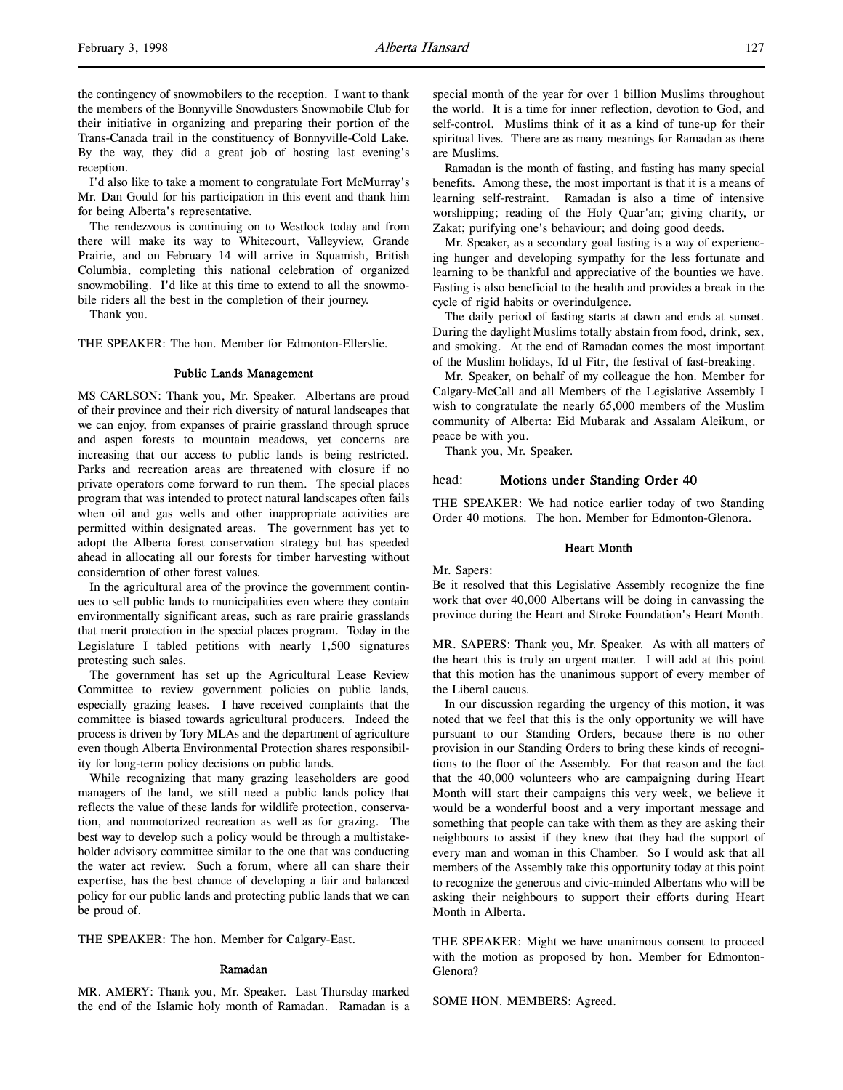the contingency of snowmobilers to the reception. I want to thank the members of the Bonnyville Snowdusters Snowmobile Club for their initiative in organizing and preparing their portion of the Trans-Canada trail in the constituency of Bonnyville-Cold Lake. By the way, they did a great job of hosting last evening's reception.

I'd also like to take a moment to congratulate Fort McMurray's Mr. Dan Gould for his participation in this event and thank him for being Alberta's representative.

The rendezvous is continuing on to Westlock today and from there will make its way to Whitecourt, Valleyview, Grande Prairie, and on February 14 will arrive in Squamish, British Columbia, completing this national celebration of organized snowmobiling. I'd like at this time to extend to all the snowmobile riders all the best in the completion of their journey.

Thank you.

THE SPEAKER: The hon. Member for Edmonton-Ellerslie.

#### Public Lands Management

MS CARLSON: Thank you, Mr. Speaker. Albertans are proud of their province and their rich diversity of natural landscapes that we can enjoy, from expanses of prairie grassland through spruce and aspen forests to mountain meadows, yet concerns are increasing that our access to public lands is being restricted. Parks and recreation areas are threatened with closure if no private operators come forward to run them. The special places program that was intended to protect natural landscapes often fails when oil and gas wells and other inappropriate activities are permitted within designated areas. The government has yet to adopt the Alberta forest conservation strategy but has speeded ahead in allocating all our forests for timber harvesting without consideration of other forest values.

In the agricultural area of the province the government continues to sell public lands to municipalities even where they contain environmentally significant areas, such as rare prairie grasslands that merit protection in the special places program. Today in the Legislature I tabled petitions with nearly 1,500 signatures protesting such sales.

The government has set up the Agricultural Lease Review Committee to review government policies on public lands, especially grazing leases. I have received complaints that the committee is biased towards agricultural producers. Indeed the process is driven by Tory MLAs and the department of agriculture even though Alberta Environmental Protection shares responsibility for long-term policy decisions on public lands.

While recognizing that many grazing leaseholders are good managers of the land, we still need a public lands policy that reflects the value of these lands for wildlife protection, conservation, and nonmotorized recreation as well as for grazing. The best way to develop such a policy would be through a multistakeholder advisory committee similar to the one that was conducting the water act review. Such a forum, where all can share their expertise, has the best chance of developing a fair and balanced policy for our public lands and protecting public lands that we can be proud of.

THE SPEAKER: The hon. Member for Calgary-East.

#### Ramadan

MR. AMERY: Thank you, Mr. Speaker. Last Thursday marked the end of the Islamic holy month of Ramadan. Ramadan is a

special month of the year for over 1 billion Muslims throughout the world. It is a time for inner reflection, devotion to God, and self-control. Muslims think of it as a kind of tune-up for their spiritual lives. There are as many meanings for Ramadan as there are Muslims.

Ramadan is the month of fasting, and fasting has many special benefits. Among these, the most important is that it is a means of learning self-restraint. Ramadan is also a time of intensive worshipping; reading of the Holy Quar'an; giving charity, or Zakat; purifying one's behaviour; and doing good deeds.

Mr. Speaker, as a secondary goal fasting is a way of experiencing hunger and developing sympathy for the less fortunate and learning to be thankful and appreciative of the bounties we have. Fasting is also beneficial to the health and provides a break in the cycle of rigid habits or overindulgence.

The daily period of fasting starts at dawn and ends at sunset. During the daylight Muslims totally abstain from food, drink, sex, and smoking. At the end of Ramadan comes the most important of the Muslim holidays, Id ul Fitr, the festival of fast-breaking.

Mr. Speaker, on behalf of my colleague the hon. Member for Calgary-McCall and all Members of the Legislative Assembly I wish to congratulate the nearly 65,000 members of the Muslim community of Alberta: Eid Mubarak and Assalam Aleikum, or peace be with you.

Thank you, Mr. Speaker.

# head: Motions under Standing Order 40

THE SPEAKER: We had notice earlier today of two Standing Order 40 motions. The hon. Member for Edmonton-Glenora.

#### Heart Month

Mr. Sapers:

Be it resolved that this Legislative Assembly recognize the fine work that over 40,000 Albertans will be doing in canvassing the province during the Heart and Stroke Foundation's Heart Month.

MR. SAPERS: Thank you, Mr. Speaker. As with all matters of the heart this is truly an urgent matter. I will add at this point that this motion has the unanimous support of every member of the Liberal caucus.

In our discussion regarding the urgency of this motion, it was noted that we feel that this is the only opportunity we will have pursuant to our Standing Orders, because there is no other provision in our Standing Orders to bring these kinds of recognitions to the floor of the Assembly. For that reason and the fact that the 40,000 volunteers who are campaigning during Heart Month will start their campaigns this very week, we believe it would be a wonderful boost and a very important message and something that people can take with them as they are asking their neighbours to assist if they knew that they had the support of every man and woman in this Chamber. So I would ask that all members of the Assembly take this opportunity today at this point to recognize the generous and civic-minded Albertans who will be asking their neighbours to support their efforts during Heart Month in Alberta.

THE SPEAKER: Might we have unanimous consent to proceed with the motion as proposed by hon. Member for Edmonton-Glenora?

SOME HON. MEMBERS: Agreed.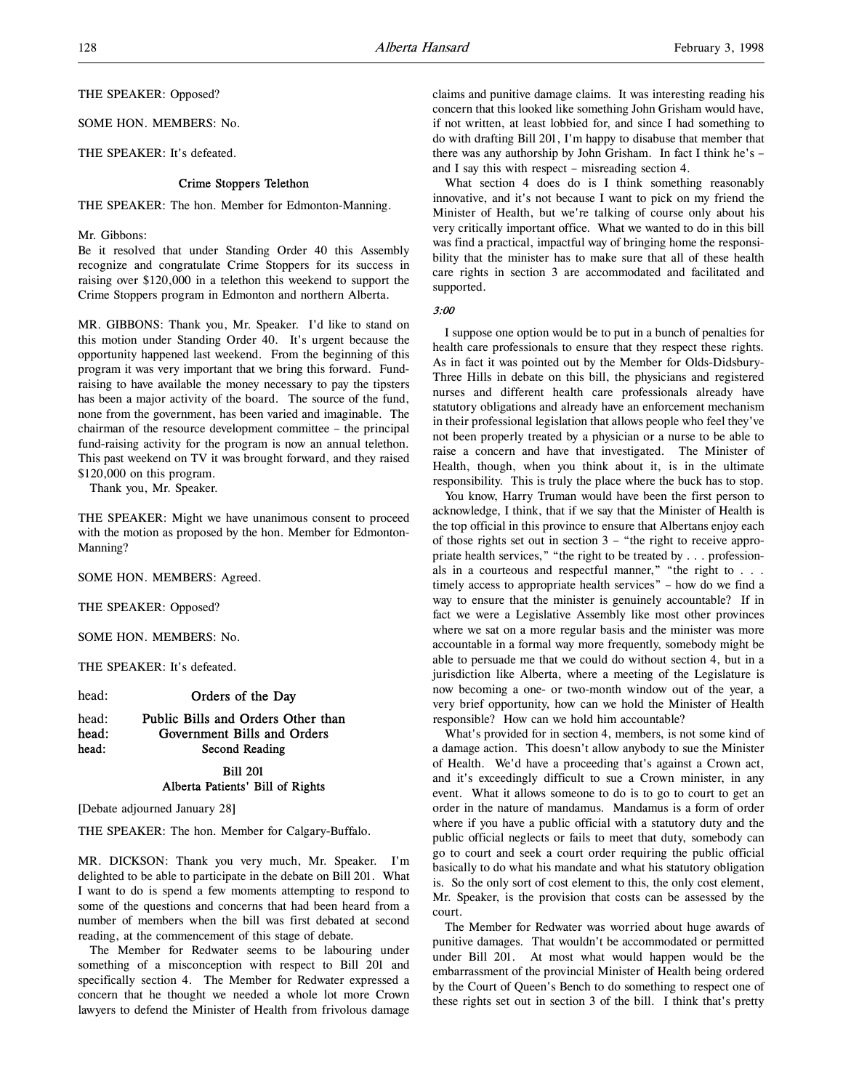THE SPEAKER: Opposed?

SOME HON. MEMBERS: No.

THE SPEAKER: It's defeated.

# Crime Stoppers Telethon

THE SPEAKER: The hon. Member for Edmonton-Manning.

### Mr. Gibbons:

Be it resolved that under Standing Order 40 this Assembly recognize and congratulate Crime Stoppers for its success in raising over \$120,000 in a telethon this weekend to support the Crime Stoppers program in Edmonton and northern Alberta.

MR. GIBBONS: Thank you, Mr. Speaker. I'd like to stand on this motion under Standing Order 40. It's urgent because the opportunity happened last weekend. From the beginning of this program it was very important that we bring this forward. Fundraising to have available the money necessary to pay the tipsters has been a major activity of the board. The source of the fund, none from the government, has been varied and imaginable. The chairman of the resource development committee – the principal fund-raising activity for the program is now an annual telethon. This past weekend on TV it was brought forward, and they raised \$120,000 on this program.

Thank you, Mr. Speaker.

THE SPEAKER: Might we have unanimous consent to proceed with the motion as proposed by the hon. Member for Edmonton-Manning?

SOME HON. MEMBERS: Agreed.

THE SPEAKER: Opposed?

SOME HON. MEMBERS: No.

THE SPEAKER: It's defeated.

head: **Orders of the Day** 

# head: Public Bills and Orders Other than head: Government Bills and Orders head: Second Reading Bill 201

# Alberta Patients' Bill of Rights

[Debate adjourned January 28]

THE SPEAKER: The hon. Member for Calgary-Buffalo.

MR. DICKSON: Thank you very much, Mr. Speaker. I'm delighted to be able to participate in the debate on Bill 201. What I want to do is spend a few moments attempting to respond to some of the questions and concerns that had been heard from a number of members when the bill was first debated at second reading, at the commencement of this stage of debate.

The Member for Redwater seems to be labouring under something of a misconception with respect to Bill 201 and specifically section 4. The Member for Redwater expressed a concern that he thought we needed a whole lot more Crown lawyers to defend the Minister of Health from frivolous damage

claims and punitive damage claims. It was interesting reading his concern that this looked like something John Grisham would have, if not written, at least lobbied for, and since I had something to do with drafting Bill 201, I'm happy to disabuse that member that there was any authorship by John Grisham. In fact I think he's – and I say this with respect – misreading section 4.

What section 4 does do is I think something reasonably innovative, and it's not because I want to pick on my friend the Minister of Health, but we're talking of course only about his very critically important office. What we wanted to do in this bill was find a practical, impactful way of bringing home the responsibility that the minister has to make sure that all of these health care rights in section 3 are accommodated and facilitated and supported.

3:00

I suppose one option would be to put in a bunch of penalties for health care professionals to ensure that they respect these rights. As in fact it was pointed out by the Member for Olds-Didsbury-Three Hills in debate on this bill, the physicians and registered nurses and different health care professionals already have statutory obligations and already have an enforcement mechanism in their professional legislation that allows people who feel they've not been properly treated by a physician or a nurse to be able to raise a concern and have that investigated. The Minister of Health, though, when you think about it, is in the ultimate responsibility. This is truly the place where the buck has to stop.

You know, Harry Truman would have been the first person to acknowledge, I think, that if we say that the Minister of Health is the top official in this province to ensure that Albertans enjoy each of those rights set out in section 3 – "the right to receive appropriate health services," "the right to be treated by . . . professionals in a courteous and respectful manner," "the right to . . . timely access to appropriate health services" – how do we find a way to ensure that the minister is genuinely accountable? If in fact we were a Legislative Assembly like most other provinces where we sat on a more regular basis and the minister was more accountable in a formal way more frequently, somebody might be able to persuade me that we could do without section 4, but in a jurisdiction like Alberta, where a meeting of the Legislature is now becoming a one- or two-month window out of the year, a very brief opportunity, how can we hold the Minister of Health responsible? How can we hold him accountable?

What's provided for in section 4, members, is not some kind of a damage action. This doesn't allow anybody to sue the Minister of Health. We'd have a proceeding that's against a Crown act, and it's exceedingly difficult to sue a Crown minister, in any event. What it allows someone to do is to go to court to get an order in the nature of mandamus. Mandamus is a form of order where if you have a public official with a statutory duty and the public official neglects or fails to meet that duty, somebody can go to court and seek a court order requiring the public official basically to do what his mandate and what his statutory obligation is. So the only sort of cost element to this, the only cost element, Mr. Speaker, is the provision that costs can be assessed by the court.

The Member for Redwater was worried about huge awards of punitive damages. That wouldn't be accommodated or permitted under Bill 201. At most what would happen would be the embarrassment of the provincial Minister of Health being ordered by the Court of Queen's Bench to do something to respect one of these rights set out in section 3 of the bill. I think that's pretty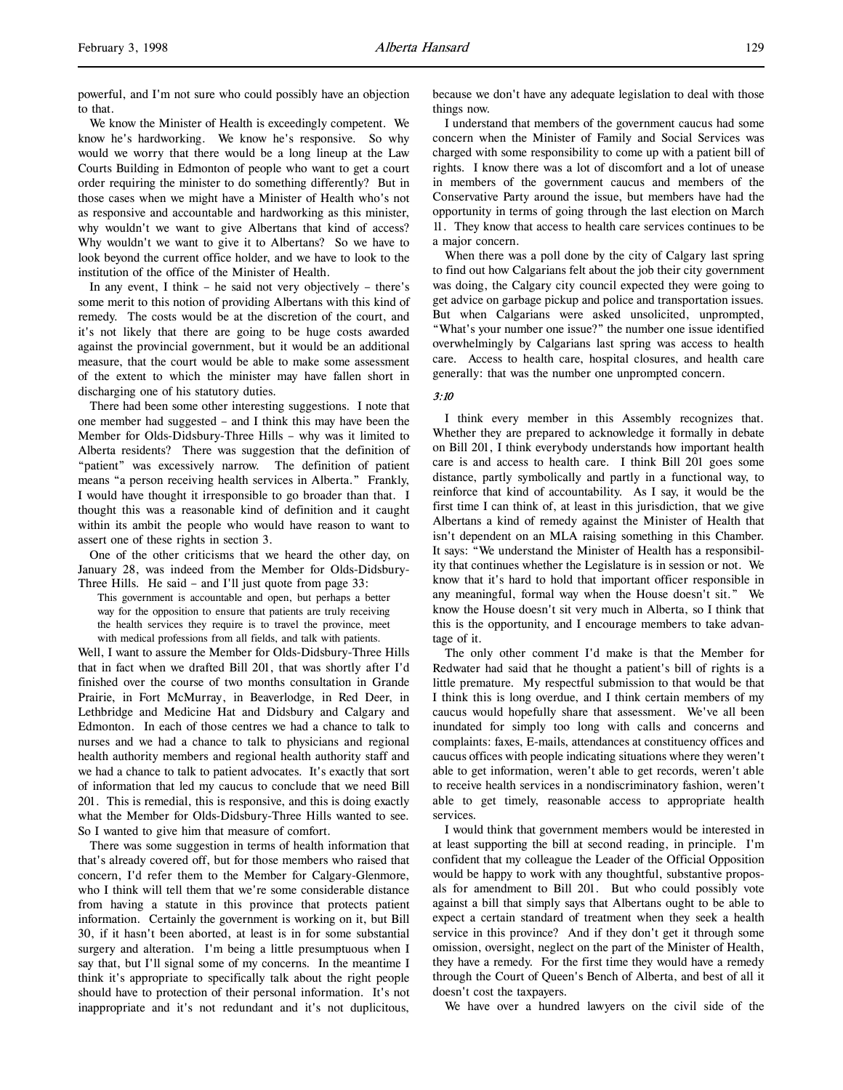powerful, and I'm not sure who could possibly have an objection to that.

We know the Minister of Health is exceedingly competent. We know he's hardworking. We know he's responsive. So why would we worry that there would be a long lineup at the Law Courts Building in Edmonton of people who want to get a court order requiring the minister to do something differently? But in those cases when we might have a Minister of Health who's not as responsive and accountable and hardworking as this minister, why wouldn't we want to give Albertans that kind of access? Why wouldn't we want to give it to Albertans? So we have to look beyond the current office holder, and we have to look to the institution of the office of the Minister of Health.

In any event, I think – he said not very objectively – there's some merit to this notion of providing Albertans with this kind of remedy. The costs would be at the discretion of the court, and it's not likely that there are going to be huge costs awarded against the provincial government, but it would be an additional measure, that the court would be able to make some assessment of the extent to which the minister may have fallen short in discharging one of his statutory duties.

There had been some other interesting suggestions. I note that one member had suggested – and I think this may have been the Member for Olds-Didsbury-Three Hills – why was it limited to Alberta residents? There was suggestion that the definition of "patient" was excessively narrow. The definition of patient means "a person receiving health services in Alberta." Frankly, I would have thought it irresponsible to go broader than that. I thought this was a reasonable kind of definition and it caught within its ambit the people who would have reason to want to assert one of these rights in section 3.

One of the other criticisms that we heard the other day, on January 28, was indeed from the Member for Olds-Didsbury-Three Hills. He said – and I'll just quote from page 33:

This government is accountable and open, but perhaps a better way for the opposition to ensure that patients are truly receiving the health services they require is to travel the province, meet with medical professions from all fields, and talk with patients.

Well, I want to assure the Member for Olds-Didsbury-Three Hills that in fact when we drafted Bill 201, that was shortly after I'd finished over the course of two months consultation in Grande Prairie, in Fort McMurray, in Beaverlodge, in Red Deer, in Lethbridge and Medicine Hat and Didsbury and Calgary and Edmonton. In each of those centres we had a chance to talk to nurses and we had a chance to talk to physicians and regional health authority members and regional health authority staff and we had a chance to talk to patient advocates. It's exactly that sort of information that led my caucus to conclude that we need Bill 201. This is remedial, this is responsive, and this is doing exactly what the Member for Olds-Didsbury-Three Hills wanted to see. So I wanted to give him that measure of comfort.

There was some suggestion in terms of health information that that's already covered off, but for those members who raised that concern, I'd refer them to the Member for Calgary-Glenmore, who I think will tell them that we're some considerable distance from having a statute in this province that protects patient information. Certainly the government is working on it, but Bill 30, if it hasn't been aborted, at least is in for some substantial surgery and alteration. I'm being a little presumptuous when I say that, but I'll signal some of my concerns. In the meantime I think it's appropriate to specifically talk about the right people should have to protection of their personal information. It's not inappropriate and it's not redundant and it's not duplicitous,

because we don't have any adequate legislation to deal with those things now.

I understand that members of the government caucus had some concern when the Minister of Family and Social Services was charged with some responsibility to come up with a patient bill of rights. I know there was a lot of discomfort and a lot of unease in members of the government caucus and members of the Conservative Party around the issue, but members have had the opportunity in terms of going through the last election on March 11. They know that access to health care services continues to be a major concern.

When there was a poll done by the city of Calgary last spring to find out how Calgarians felt about the job their city government was doing, the Calgary city council expected they were going to get advice on garbage pickup and police and transportation issues. But when Calgarians were asked unsolicited, unprompted, "What's your number one issue?" the number one issue identified overwhelmingly by Calgarians last spring was access to health care. Access to health care, hospital closures, and health care generally: that was the number one unprompted concern.

## 3:10

I think every member in this Assembly recognizes that. Whether they are prepared to acknowledge it formally in debate on Bill 201, I think everybody understands how important health care is and access to health care. I think Bill 201 goes some distance, partly symbolically and partly in a functional way, to reinforce that kind of accountability. As I say, it would be the first time I can think of, at least in this jurisdiction, that we give Albertans a kind of remedy against the Minister of Health that isn't dependent on an MLA raising something in this Chamber. It says: "We understand the Minister of Health has a responsibility that continues whether the Legislature is in session or not. We know that it's hard to hold that important officer responsible in any meaningful, formal way when the House doesn't sit." We know the House doesn't sit very much in Alberta, so I think that this is the opportunity, and I encourage members to take advantage of it.

The only other comment I'd make is that the Member for Redwater had said that he thought a patient's bill of rights is a little premature. My respectful submission to that would be that I think this is long overdue, and I think certain members of my caucus would hopefully share that assessment. We've all been inundated for simply too long with calls and concerns and complaints: faxes, E-mails, attendances at constituency offices and caucus offices with people indicating situations where they weren't able to get information, weren't able to get records, weren't able to receive health services in a nondiscriminatory fashion, weren't able to get timely, reasonable access to appropriate health services.

I would think that government members would be interested in at least supporting the bill at second reading, in principle. I'm confident that my colleague the Leader of the Official Opposition would be happy to work with any thoughtful, substantive proposals for amendment to Bill 201. But who could possibly vote against a bill that simply says that Albertans ought to be able to expect a certain standard of treatment when they seek a health service in this province? And if they don't get it through some omission, oversight, neglect on the part of the Minister of Health, they have a remedy. For the first time they would have a remedy through the Court of Queen's Bench of Alberta, and best of all it doesn't cost the taxpayers.

We have over a hundred lawyers on the civil side of the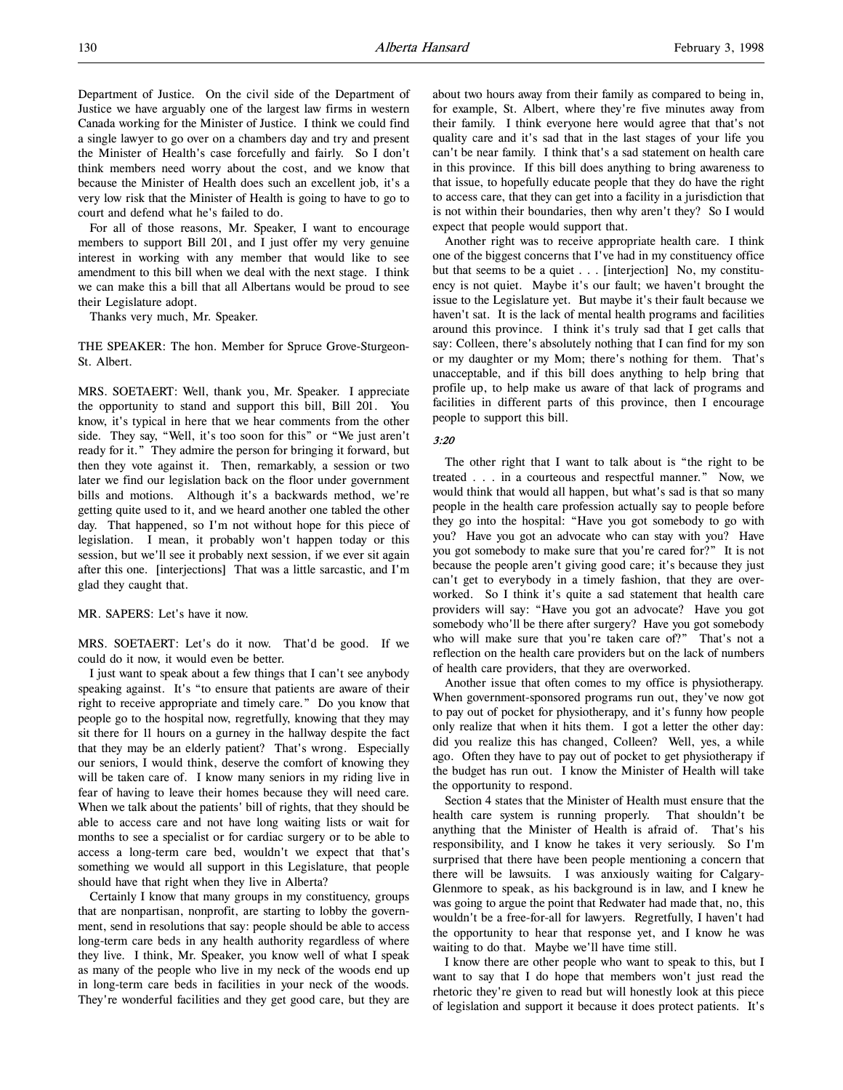Department of Justice. On the civil side of the Department of Justice we have arguably one of the largest law firms in western Canada working for the Minister of Justice. I think we could find a single lawyer to go over on a chambers day and try and present the Minister of Health's case forcefully and fairly. So I don't think members need worry about the cost, and we know that because the Minister of Health does such an excellent job, it's a very low risk that the Minister of Health is going to have to go to court and defend what he's failed to do.

For all of those reasons, Mr. Speaker, I want to encourage members to support Bill 201, and I just offer my very genuine interest in working with any member that would like to see amendment to this bill when we deal with the next stage. I think we can make this a bill that all Albertans would be proud to see their Legislature adopt.

Thanks very much, Mr. Speaker.

THE SPEAKER: The hon. Member for Spruce Grove-Sturgeon-St. Albert.

MRS. SOETAERT: Well, thank you, Mr. Speaker. I appreciate the opportunity to stand and support this bill, Bill 201. You know, it's typical in here that we hear comments from the other side. They say, "Well, it's too soon for this" or "We just aren't ready for it." They admire the person for bringing it forward, but then they vote against it. Then, remarkably, a session or two later we find our legislation back on the floor under government bills and motions. Although it's a backwards method, we're getting quite used to it, and we heard another one tabled the other day. That happened, so I'm not without hope for this piece of legislation. I mean, it probably won't happen today or this session, but we'll see it probably next session, if we ever sit again after this one. [interjections] That was a little sarcastic, and I'm glad they caught that.

MR. SAPERS: Let's have it now.

MRS. SOETAERT: Let's do it now. That'd be good. If we could do it now, it would even be better.

I just want to speak about a few things that I can't see anybody speaking against. It's "to ensure that patients are aware of their right to receive appropriate and timely care." Do you know that people go to the hospital now, regretfully, knowing that they may sit there for 11 hours on a gurney in the hallway despite the fact that they may be an elderly patient? That's wrong. Especially our seniors, I would think, deserve the comfort of knowing they will be taken care of. I know many seniors in my riding live in fear of having to leave their homes because they will need care. When we talk about the patients' bill of rights, that they should be able to access care and not have long waiting lists or wait for months to see a specialist or for cardiac surgery or to be able to access a long-term care bed, wouldn't we expect that that's something we would all support in this Legislature, that people should have that right when they live in Alberta?

Certainly I know that many groups in my constituency, groups that are nonpartisan, nonprofit, are starting to lobby the government, send in resolutions that say: people should be able to access long-term care beds in any health authority regardless of where they live. I think, Mr. Speaker, you know well of what I speak as many of the people who live in my neck of the woods end up in long-term care beds in facilities in your neck of the woods. They're wonderful facilities and they get good care, but they are

about two hours away from their family as compared to being in, for example, St. Albert, where they're five minutes away from their family. I think everyone here would agree that that's not quality care and it's sad that in the last stages of your life you can't be near family. I think that's a sad statement on health care in this province. If this bill does anything to bring awareness to that issue, to hopefully educate people that they do have the right to access care, that they can get into a facility in a jurisdiction that is not within their boundaries, then why aren't they? So I would expect that people would support that.

Another right was to receive appropriate health care. I think one of the biggest concerns that I've had in my constituency office but that seems to be a quiet . . . [interjection] No, my constituency is not quiet. Maybe it's our fault; we haven't brought the issue to the Legislature yet. But maybe it's their fault because we haven't sat. It is the lack of mental health programs and facilities around this province. I think it's truly sad that I get calls that say: Colleen, there's absolutely nothing that I can find for my son or my daughter or my Mom; there's nothing for them. That's unacceptable, and if this bill does anything to help bring that profile up, to help make us aware of that lack of programs and facilities in different parts of this province, then I encourage people to support this bill.

#### 3:20

The other right that I want to talk about is "the right to be treated . . . in a courteous and respectful manner." Now, we would think that would all happen, but what's sad is that so many people in the health care profession actually say to people before they go into the hospital: "Have you got somebody to go with you? Have you got an advocate who can stay with you? Have you got somebody to make sure that you're cared for?" It is not because the people aren't giving good care; it's because they just can't get to everybody in a timely fashion, that they are overworked. So I think it's quite a sad statement that health care providers will say: "Have you got an advocate? Have you got somebody who'll be there after surgery? Have you got somebody who will make sure that you're taken care of?" That's not a reflection on the health care providers but on the lack of numbers of health care providers, that they are overworked.

Another issue that often comes to my office is physiotherapy. When government-sponsored programs run out, they've now got to pay out of pocket for physiotherapy, and it's funny how people only realize that when it hits them. I got a letter the other day: did you realize this has changed, Colleen? Well, yes, a while ago. Often they have to pay out of pocket to get physiotherapy if the budget has run out. I know the Minister of Health will take the opportunity to respond.

Section 4 states that the Minister of Health must ensure that the health care system is running properly. That shouldn't be anything that the Minister of Health is afraid of. That's his responsibility, and I know he takes it very seriously. So I'm surprised that there have been people mentioning a concern that there will be lawsuits. I was anxiously waiting for Calgary-Glenmore to speak, as his background is in law, and I knew he was going to argue the point that Redwater had made that, no, this wouldn't be a free-for-all for lawyers. Regretfully, I haven't had the opportunity to hear that response yet, and I know he was waiting to do that. Maybe we'll have time still.

I know there are other people who want to speak to this, but I want to say that I do hope that members won't just read the rhetoric they're given to read but will honestly look at this piece of legislation and support it because it does protect patients. It's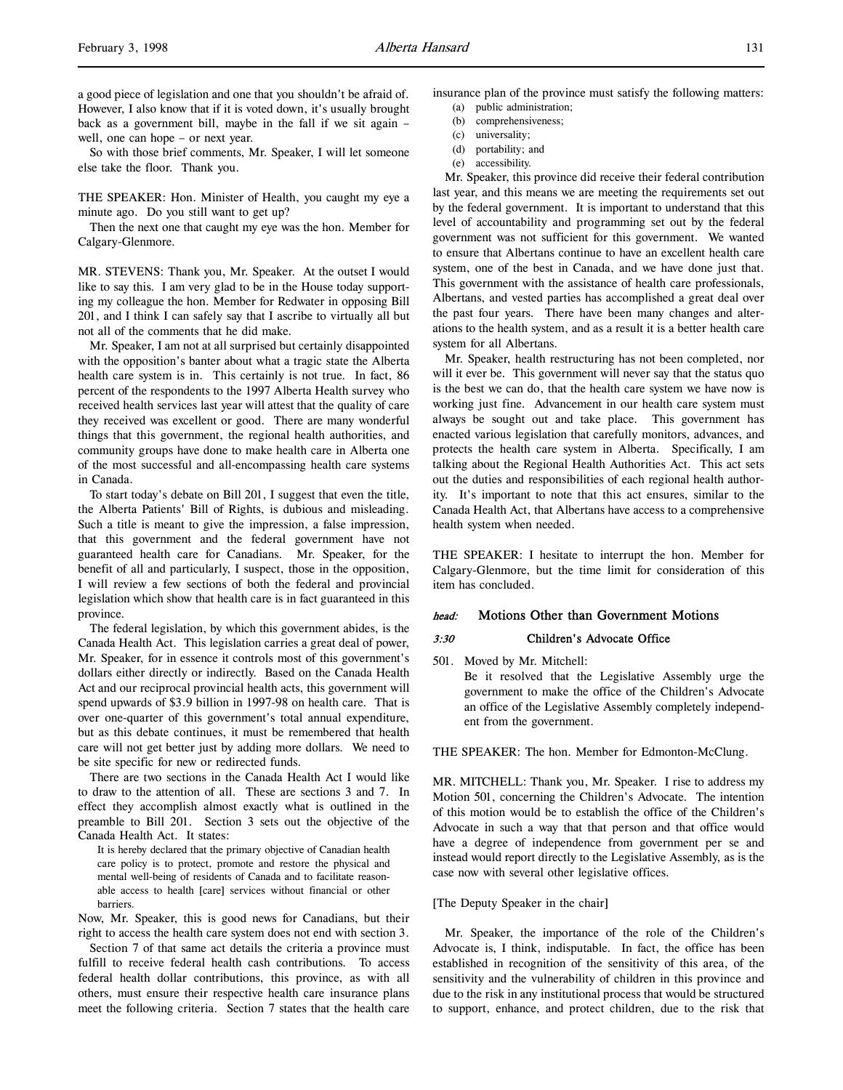So with those brief comments, Mr. Speaker, I will let someone else take the floor. Thank you.

THE SPEAKER: Hon. Minister of Health, you caught my eye a minute ago. Do you still want to get up?

Then the next one that caught my eye was the hon. Member for Calgary-Glenmore.

MR. STEVENS: Thank you, Mr. Speaker. At the outset I would like to say this. I am very glad to be in the House today supporting my colleague the hon. Member for Redwater in opposing Bill 201, and I think I can safely say that I ascribe to virtually all but not all of the comments that he did make.

Mr. Speaker, I am not at all surprised but certainly disappointed with the opposition's banter about what a tragic state the Alberta health care system is in. This certainly is not true. In fact, 86 percent of the respondents to the 1997 Alberta Health survey who received health services last year will attest that the quality of care they received was excellent or good. There are many wonderful things that this government, the regional health authorities, and community groups have done to make health care in Alberta one of the most successful and all-encompassing health care systems in Canada.

To start today's debate on Bill 201, I suggest that even the title, the Alberta Patients' Bill of Rights, is dubious and misleading. Such a title is meant to give the impression, a false impression, that this government and the federal government have not guaranteed health care for Canadians. Mr. Speaker, for the benefit of all and particularly, I suspect, those in the opposition, I will review a few sections of both the federal and provincial legislation which show that health care is in fact guaranteed in this province.

The federal legislation, by which this government abides, is the Canada Health Act. This legislation carries a great deal of power, Mr. Speaker, for in essence it controls most of this government's dollars either directly or indirectly. Based on the Canada Health Act and our reciprocal provincial health acts, this government will spend upwards of \$3.9 billion in 1997-98 on health care. That is over one-quarter of this government's total annual expenditure, but as this debate continues, it must be remembered that health care will not get better just by adding more dollars. We need to be site specific for new or redirected funds.

There are two sections in the Canada Health Act I would like to draw to the attention of all. These are sections 3 and 7. In effect they accomplish almost exactly what is outlined in the preamble to Bill 201. Section 3 sets out the objective of the Canada Health Act. It states:

It is hereby declared that the primary objective of Canadian health care policy is to protect, promote and restore the physical and mental well-being of residents of Canada and to facilitate reasonable access to health [care] services without financial or other barriers.

Now, Mr. Speaker, this is good news for Canadians, but their right to access the health care system does not end with section 3.

Section 7 of that same act details the criteria a province must fulfill to receive federal health cash contributions. To access federal health dollar contributions, this province, as with all others, must ensure their respective health care insurance plans meet the following criteria. Section 7 states that the health care

- insurance plan of the province must satisfy the following matters: (a) public administration;
	- (b) comprehensiveness;
	- (c) universality;
	- (d) portability; and
	- (e) accessibility.

Mr. Speaker, this province did receive their federal contribution last year, and this means we are meeting the requirements set out by the federal government. It is important to understand that this level of accountability and programming set out by the federal government was not sufficient for this government. We wanted to ensure that Albertans continue to have an excellent health care system, one of the best in Canada, and we have done just that. This government with the assistance of health care professionals, Albertans, and vested parties has accomplished a great deal over the past four years. There have been many changes and alterations to the health system, and as a result it is a better health care system for all Albertans.

Mr. Speaker, health restructuring has not been completed, nor will it ever be. This government will never say that the status quo is the best we can do, that the health care system we have now is working just fine. Advancement in our health care system must always be sought out and take place. This government has enacted various legislation that carefully monitors, advances, and protects the health care system in Alberta. Specifically, I am talking about the Regional Health Authorities Act. This act sets out the duties and responsibilities of each regional health authority. It's important to note that this act ensures, similar to the Canada Health Act, that Albertans have access to a comprehensive health system when needed.

THE SPEAKER: I hesitate to interrupt the hon. Member for Calgary-Glenmore, but the time limit for consideration of this item has concluded.

# head: Motions Other than Government Motions

## 3:30 Children's Advocate Office

501. Moved by Mr. Mitchell: Be it resolved that the Legislative Assembly urge the government to make the office of the Children's Advocate an office of the Legislative Assembly completely independent from the government.

THE SPEAKER: The hon. Member for Edmonton-McClung.

MR. MITCHELL: Thank you, Mr. Speaker. I rise to address my Motion 501, concerning the Children's Advocate. The intention of this motion would be to establish the office of the Children's Advocate in such a way that that person and that office would have a degree of independence from government per se and instead would report directly to the Legislative Assembly, as is the case now with several other legislative offices.

#### [The Deputy Speaker in the chair]

Mr. Speaker, the importance of the role of the Children's Advocate is, I think, indisputable. In fact, the office has been established in recognition of the sensitivity of this area, of the sensitivity and the vulnerability of children in this province and due to the risk in any institutional process that would be structured to support, enhance, and protect children, due to the risk that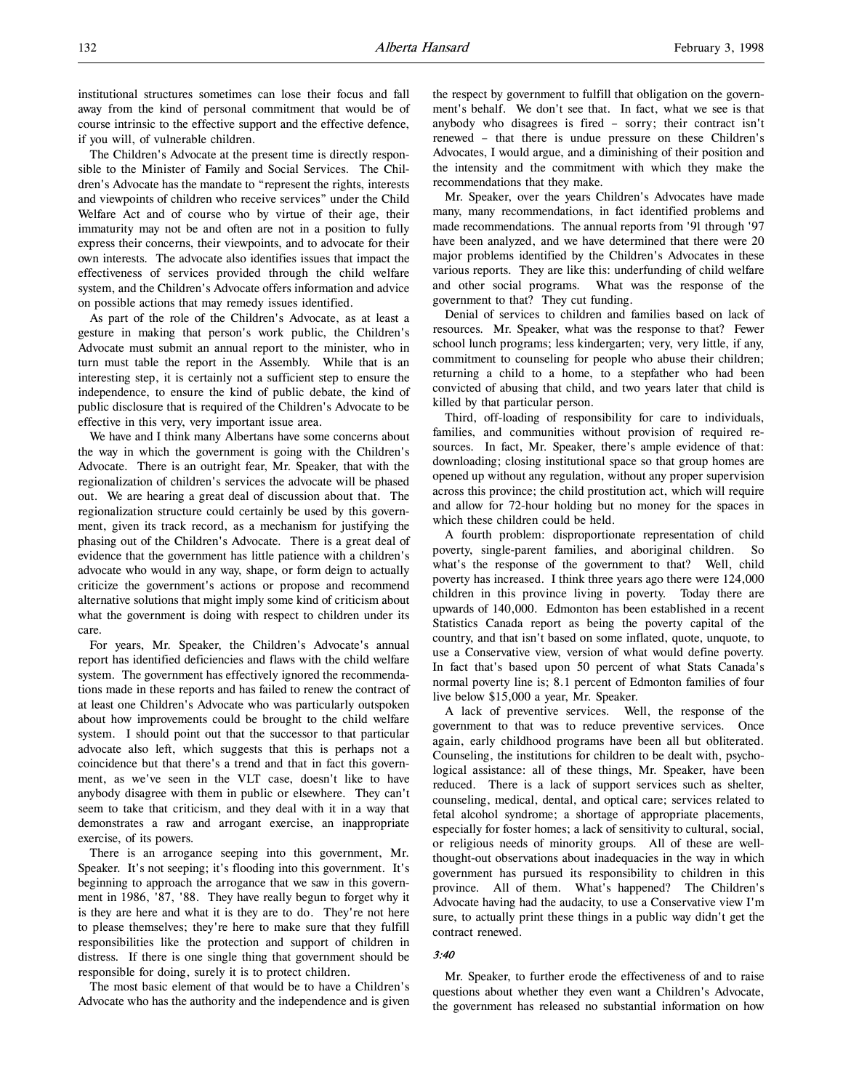institutional structures sometimes can lose their focus and fall away from the kind of personal commitment that would be of course intrinsic to the effective support and the effective defence, if you will, of vulnerable children.

The Children's Advocate at the present time is directly responsible to the Minister of Family and Social Services. The Children's Advocate has the mandate to "represent the rights, interests and viewpoints of children who receive services" under the Child Welfare Act and of course who by virtue of their age, their immaturity may not be and often are not in a position to fully express their concerns, their viewpoints, and to advocate for their own interests. The advocate also identifies issues that impact the effectiveness of services provided through the child welfare system, and the Children's Advocate offers information and advice on possible actions that may remedy issues identified.

As part of the role of the Children's Advocate, as at least a gesture in making that person's work public, the Children's Advocate must submit an annual report to the minister, who in turn must table the report in the Assembly. While that is an interesting step, it is certainly not a sufficient step to ensure the independence, to ensure the kind of public debate, the kind of public disclosure that is required of the Children's Advocate to be effective in this very, very important issue area.

We have and I think many Albertans have some concerns about the way in which the government is going with the Children's Advocate. There is an outright fear, Mr. Speaker, that with the regionalization of children's services the advocate will be phased out. We are hearing a great deal of discussion about that. The regionalization structure could certainly be used by this government, given its track record, as a mechanism for justifying the phasing out of the Children's Advocate. There is a great deal of evidence that the government has little patience with a children's advocate who would in any way, shape, or form deign to actually criticize the government's actions or propose and recommend alternative solutions that might imply some kind of criticism about what the government is doing with respect to children under its care.

For years, Mr. Speaker, the Children's Advocate's annual report has identified deficiencies and flaws with the child welfare system. The government has effectively ignored the recommendations made in these reports and has failed to renew the contract of at least one Children's Advocate who was particularly outspoken about how improvements could be brought to the child welfare system. I should point out that the successor to that particular advocate also left, which suggests that this is perhaps not a coincidence but that there's a trend and that in fact this government, as we've seen in the VLT case, doesn't like to have anybody disagree with them in public or elsewhere. They can't seem to take that criticism, and they deal with it in a way that demonstrates a raw and arrogant exercise, an inappropriate exercise, of its powers.

There is an arrogance seeping into this government, Mr. Speaker. It's not seeping; it's flooding into this government. It's beginning to approach the arrogance that we saw in this government in 1986, '87, '88. They have really begun to forget why it is they are here and what it is they are to do. They're not here to please themselves; they're here to make sure that they fulfill responsibilities like the protection and support of children in distress. If there is one single thing that government should be responsible for doing, surely it is to protect children.

The most basic element of that would be to have a Children's Advocate who has the authority and the independence and is given the respect by government to fulfill that obligation on the government's behalf. We don't see that. In fact, what we see is that anybody who disagrees is fired – sorry; their contract isn't renewed – that there is undue pressure on these Children's Advocates, I would argue, and a diminishing of their position and the intensity and the commitment with which they make the recommendations that they make.

Mr. Speaker, over the years Children's Advocates have made many, many recommendations, in fact identified problems and made recommendations. The annual reports from '91 through '97 have been analyzed, and we have determined that there were 20 major problems identified by the Children's Advocates in these various reports. They are like this: underfunding of child welfare and other social programs. What was the response of the government to that? They cut funding.

Denial of services to children and families based on lack of resources. Mr. Speaker, what was the response to that? Fewer school lunch programs; less kindergarten; very, very little, if any, commitment to counseling for people who abuse their children; returning a child to a home, to a stepfather who had been convicted of abusing that child, and two years later that child is killed by that particular person.

Third, off-loading of responsibility for care to individuals, families, and communities without provision of required resources. In fact, Mr. Speaker, there's ample evidence of that: downloading; closing institutional space so that group homes are opened up without any regulation, without any proper supervision across this province; the child prostitution act, which will require and allow for 72-hour holding but no money for the spaces in which these children could be held.

A fourth problem: disproportionate representation of child poverty, single-parent families, and aboriginal children. So what's the response of the government to that? Well, child poverty has increased. I think three years ago there were 124,000 children in this province living in poverty. Today there are upwards of 140,000. Edmonton has been established in a recent Statistics Canada report as being the poverty capital of the country, and that isn't based on some inflated, quote, unquote, to use a Conservative view, version of what would define poverty. In fact that's based upon 50 percent of what Stats Canada's normal poverty line is; 8.1 percent of Edmonton families of four live below \$15,000 a year, Mr. Speaker.

A lack of preventive services. Well, the response of the government to that was to reduce preventive services. Once again, early childhood programs have been all but obliterated. Counseling, the institutions for children to be dealt with, psychological assistance: all of these things, Mr. Speaker, have been reduced. There is a lack of support services such as shelter, counseling, medical, dental, and optical care; services related to fetal alcohol syndrome; a shortage of appropriate placements, especially for foster homes; a lack of sensitivity to cultural, social, or religious needs of minority groups. All of these are wellthought-out observations about inadequacies in the way in which government has pursued its responsibility to children in this province. All of them. What's happened? The Children's Advocate having had the audacity, to use a Conservative view I'm sure, to actually print these things in a public way didn't get the contract renewed.

# 3:40

Mr. Speaker, to further erode the effectiveness of and to raise questions about whether they even want a Children's Advocate, the government has released no substantial information on how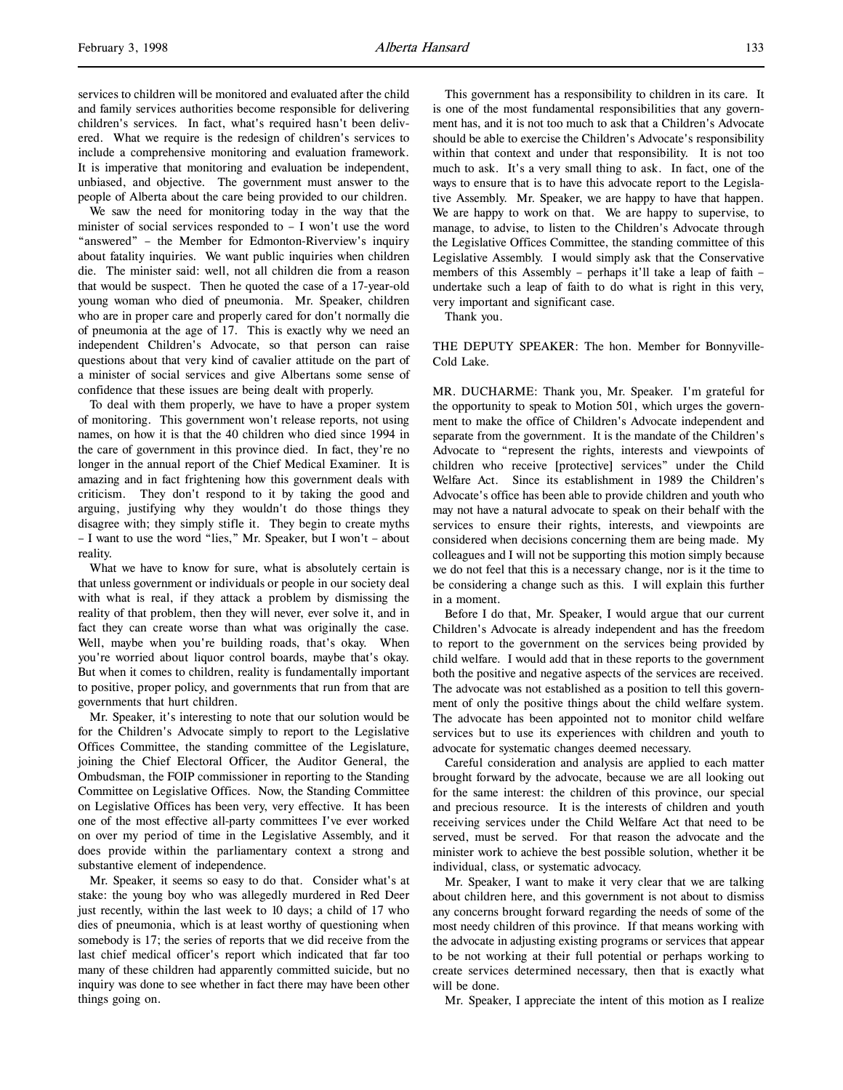services to children will be monitored and evaluated after the child and family services authorities become responsible for delivering children's services. In fact, what's required hasn't been delivered. What we require is the redesign of children's services to include a comprehensive monitoring and evaluation framework. It is imperative that monitoring and evaluation be independent, unbiased, and objective. The government must answer to the people of Alberta about the care being provided to our children.

We saw the need for monitoring today in the way that the minister of social services responded to – I won't use the word "answered" – the Member for Edmonton-Riverview's inquiry about fatality inquiries. We want public inquiries when children die. The minister said: well, not all children die from a reason that would be suspect. Then he quoted the case of a 17-year-old young woman who died of pneumonia. Mr. Speaker, children who are in proper care and properly cared for don't normally die of pneumonia at the age of 17. This is exactly why we need an independent Children's Advocate, so that person can raise questions about that very kind of cavalier attitude on the part of a minister of social services and give Albertans some sense of confidence that these issues are being dealt with properly.

To deal with them properly, we have to have a proper system of monitoring. This government won't release reports, not using names, on how it is that the 40 children who died since 1994 in the care of government in this province died. In fact, they're no longer in the annual report of the Chief Medical Examiner. It is amazing and in fact frightening how this government deals with criticism. They don't respond to it by taking the good and arguing, justifying why they wouldn't do those things they disagree with; they simply stifle it. They begin to create myths – I want to use the word "lies," Mr. Speaker, but I won't – about reality.

What we have to know for sure, what is absolutely certain is that unless government or individuals or people in our society deal with what is real, if they attack a problem by dismissing the reality of that problem, then they will never, ever solve it, and in fact they can create worse than what was originally the case. Well, maybe when you're building roads, that's okay. When you're worried about liquor control boards, maybe that's okay. But when it comes to children, reality is fundamentally important to positive, proper policy, and governments that run from that are governments that hurt children.

Mr. Speaker, it's interesting to note that our solution would be for the Children's Advocate simply to report to the Legislative Offices Committee, the standing committee of the Legislature, joining the Chief Electoral Officer, the Auditor General, the Ombudsman, the FOIP commissioner in reporting to the Standing Committee on Legislative Offices. Now, the Standing Committee on Legislative Offices has been very, very effective. It has been one of the most effective all-party committees I've ever worked on over my period of time in the Legislative Assembly, and it does provide within the parliamentary context a strong and substantive element of independence.

Mr. Speaker, it seems so easy to do that. Consider what's at stake: the young boy who was allegedly murdered in Red Deer just recently, within the last week to 10 days; a child of 17 who dies of pneumonia, which is at least worthy of questioning when somebody is 17; the series of reports that we did receive from the last chief medical officer's report which indicated that far too many of these children had apparently committed suicide, but no inquiry was done to see whether in fact there may have been other things going on.

This government has a responsibility to children in its care. It is one of the most fundamental responsibilities that any government has, and it is not too much to ask that a Children's Advocate should be able to exercise the Children's Advocate's responsibility within that context and under that responsibility. It is not too much to ask. It's a very small thing to ask. In fact, one of the ways to ensure that is to have this advocate report to the Legislative Assembly. Mr. Speaker, we are happy to have that happen. We are happy to work on that. We are happy to supervise, to manage, to advise, to listen to the Children's Advocate through the Legislative Offices Committee, the standing committee of this Legislative Assembly. I would simply ask that the Conservative members of this Assembly – perhaps it'll take a leap of faith – undertake such a leap of faith to do what is right in this very, very important and significant case.

Thank you.

THE DEPUTY SPEAKER: The hon. Member for Bonnyville-Cold Lake.

MR. DUCHARME: Thank you, Mr. Speaker. I'm grateful for the opportunity to speak to Motion 501, which urges the government to make the office of Children's Advocate independent and separate from the government. It is the mandate of the Children's Advocate to "represent the rights, interests and viewpoints of children who receive [protective] services" under the Child Welfare Act. Since its establishment in 1989 the Children's Advocate's office has been able to provide children and youth who may not have a natural advocate to speak on their behalf with the services to ensure their rights, interests, and viewpoints are considered when decisions concerning them are being made. My colleagues and I will not be supporting this motion simply because we do not feel that this is a necessary change, nor is it the time to be considering a change such as this. I will explain this further in a moment.

Before I do that, Mr. Speaker, I would argue that our current Children's Advocate is already independent and has the freedom to report to the government on the services being provided by child welfare. I would add that in these reports to the government both the positive and negative aspects of the services are received. The advocate was not established as a position to tell this government of only the positive things about the child welfare system. The advocate has been appointed not to monitor child welfare services but to use its experiences with children and youth to advocate for systematic changes deemed necessary.

Careful consideration and analysis are applied to each matter brought forward by the advocate, because we are all looking out for the same interest: the children of this province, our special and precious resource. It is the interests of children and youth receiving services under the Child Welfare Act that need to be served, must be served. For that reason the advocate and the minister work to achieve the best possible solution, whether it be individual, class, or systematic advocacy.

Mr. Speaker, I want to make it very clear that we are talking about children here, and this government is not about to dismiss any concerns brought forward regarding the needs of some of the most needy children of this province. If that means working with the advocate in adjusting existing programs or services that appear to be not working at their full potential or perhaps working to create services determined necessary, then that is exactly what will be done.

Mr. Speaker, I appreciate the intent of this motion as I realize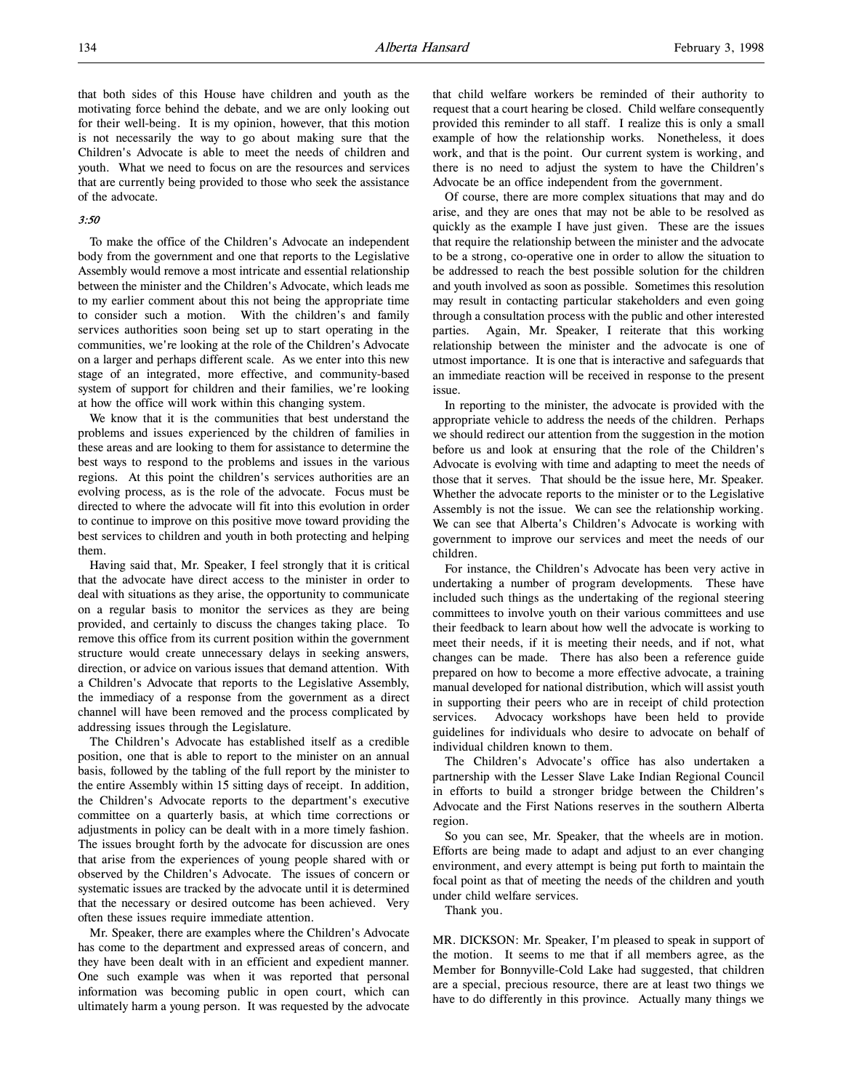that both sides of this House have children and youth as the motivating force behind the debate, and we are only looking out for their well-being. It is my opinion, however, that this motion is not necessarily the way to go about making sure that the Children's Advocate is able to meet the needs of children and youth. What we need to focus on are the resources and services that are currently being provided to those who seek the assistance of the advocate.

# 3:50

To make the office of the Children's Advocate an independent body from the government and one that reports to the Legislative Assembly would remove a most intricate and essential relationship between the minister and the Children's Advocate, which leads me to my earlier comment about this not being the appropriate time to consider such a motion. With the children's and family services authorities soon being set up to start operating in the communities, we're looking at the role of the Children's Advocate on a larger and perhaps different scale. As we enter into this new stage of an integrated, more effective, and community-based system of support for children and their families, we're looking at how the office will work within this changing system.

We know that it is the communities that best understand the problems and issues experienced by the children of families in these areas and are looking to them for assistance to determine the best ways to respond to the problems and issues in the various regions. At this point the children's services authorities are an evolving process, as is the role of the advocate. Focus must be directed to where the advocate will fit into this evolution in order to continue to improve on this positive move toward providing the best services to children and youth in both protecting and helping them.

Having said that, Mr. Speaker, I feel strongly that it is critical that the advocate have direct access to the minister in order to deal with situations as they arise, the opportunity to communicate on a regular basis to monitor the services as they are being provided, and certainly to discuss the changes taking place. To remove this office from its current position within the government structure would create unnecessary delays in seeking answers, direction, or advice on various issues that demand attention. With a Children's Advocate that reports to the Legislative Assembly, the immediacy of a response from the government as a direct channel will have been removed and the process complicated by addressing issues through the Legislature.

The Children's Advocate has established itself as a credible position, one that is able to report to the minister on an annual basis, followed by the tabling of the full report by the minister to the entire Assembly within 15 sitting days of receipt. In addition, the Children's Advocate reports to the department's executive committee on a quarterly basis, at which time corrections or adjustments in policy can be dealt with in a more timely fashion. The issues brought forth by the advocate for discussion are ones that arise from the experiences of young people shared with or observed by the Children's Advocate. The issues of concern or systematic issues are tracked by the advocate until it is determined that the necessary or desired outcome has been achieved. Very often these issues require immediate attention.

Mr. Speaker, there are examples where the Children's Advocate has come to the department and expressed areas of concern, and they have been dealt with in an efficient and expedient manner. One such example was when it was reported that personal information was becoming public in open court, which can ultimately harm a young person. It was requested by the advocate

that child welfare workers be reminded of their authority to request that a court hearing be closed. Child welfare consequently provided this reminder to all staff. I realize this is only a small example of how the relationship works. Nonetheless, it does work, and that is the point. Our current system is working, and there is no need to adjust the system to have the Children's Advocate be an office independent from the government.

Of course, there are more complex situations that may and do arise, and they are ones that may not be able to be resolved as quickly as the example I have just given. These are the issues that require the relationship between the minister and the advocate to be a strong, co-operative one in order to allow the situation to be addressed to reach the best possible solution for the children and youth involved as soon as possible. Sometimes this resolution may result in contacting particular stakeholders and even going through a consultation process with the public and other interested parties. Again, Mr. Speaker, I reiterate that this working relationship between the minister and the advocate is one of utmost importance. It is one that is interactive and safeguards that an immediate reaction will be received in response to the present issue.

In reporting to the minister, the advocate is provided with the appropriate vehicle to address the needs of the children. Perhaps we should redirect our attention from the suggestion in the motion before us and look at ensuring that the role of the Children's Advocate is evolving with time and adapting to meet the needs of those that it serves. That should be the issue here, Mr. Speaker. Whether the advocate reports to the minister or to the Legislative Assembly is not the issue. We can see the relationship working. We can see that Alberta's Children's Advocate is working with government to improve our services and meet the needs of our children.

For instance, the Children's Advocate has been very active in undertaking a number of program developments. These have included such things as the undertaking of the regional steering committees to involve youth on their various committees and use their feedback to learn about how well the advocate is working to meet their needs, if it is meeting their needs, and if not, what changes can be made. There has also been a reference guide prepared on how to become a more effective advocate, a training manual developed for national distribution, which will assist youth in supporting their peers who are in receipt of child protection services. Advocacy workshops have been held to provide guidelines for individuals who desire to advocate on behalf of individual children known to them.

The Children's Advocate's office has also undertaken a partnership with the Lesser Slave Lake Indian Regional Council in efforts to build a stronger bridge between the Children's Advocate and the First Nations reserves in the southern Alberta region.

So you can see, Mr. Speaker, that the wheels are in motion. Efforts are being made to adapt and adjust to an ever changing environment, and every attempt is being put forth to maintain the focal point as that of meeting the needs of the children and youth under child welfare services.

Thank you.

MR. DICKSON: Mr. Speaker, I'm pleased to speak in support of the motion. It seems to me that if all members agree, as the Member for Bonnyville-Cold Lake had suggested, that children are a special, precious resource, there are at least two things we have to do differently in this province. Actually many things we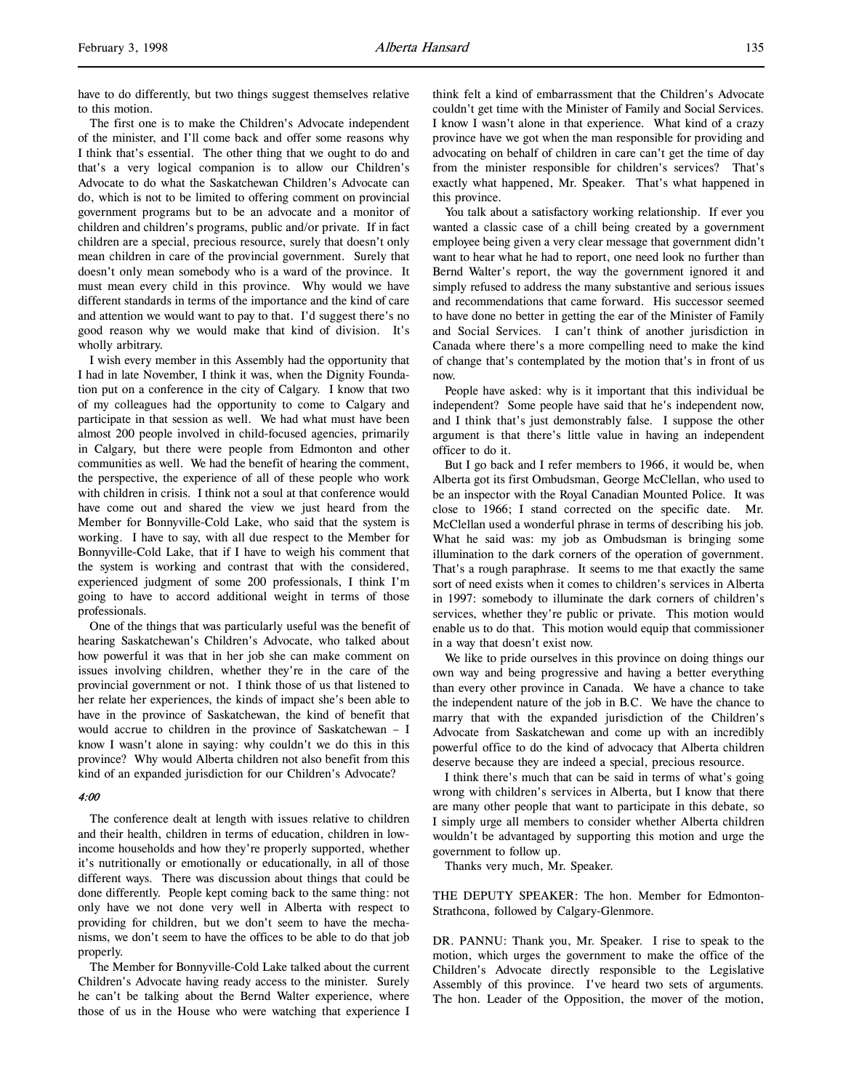have to do differently, but two things suggest themselves relative to this motion.

The first one is to make the Children's Advocate independent of the minister, and I'll come back and offer some reasons why I think that's essential. The other thing that we ought to do and that's a very logical companion is to allow our Children's Advocate to do what the Saskatchewan Children's Advocate can do, which is not to be limited to offering comment on provincial government programs but to be an advocate and a monitor of children and children's programs, public and/or private. If in fact children are a special, precious resource, surely that doesn't only mean children in care of the provincial government. Surely that doesn't only mean somebody who is a ward of the province. It must mean every child in this province. Why would we have different standards in terms of the importance and the kind of care and attention we would want to pay to that. I'd suggest there's no good reason why we would make that kind of division. It's wholly arbitrary.

I wish every member in this Assembly had the opportunity that I had in late November, I think it was, when the Dignity Foundation put on a conference in the city of Calgary. I know that two of my colleagues had the opportunity to come to Calgary and participate in that session as well. We had what must have been almost 200 people involved in child-focused agencies, primarily in Calgary, but there were people from Edmonton and other communities as well. We had the benefit of hearing the comment, the perspective, the experience of all of these people who work with children in crisis. I think not a soul at that conference would have come out and shared the view we just heard from the Member for Bonnyville-Cold Lake, who said that the system is working. I have to say, with all due respect to the Member for Bonnyville-Cold Lake, that if I have to weigh his comment that the system is working and contrast that with the considered, experienced judgment of some 200 professionals, I think I'm going to have to accord additional weight in terms of those professionals.

One of the things that was particularly useful was the benefit of hearing Saskatchewan's Children's Advocate, who talked about how powerful it was that in her job she can make comment on issues involving children, whether they're in the care of the provincial government or not. I think those of us that listened to her relate her experiences, the kinds of impact she's been able to have in the province of Saskatchewan, the kind of benefit that would accrue to children in the province of Saskatchewan – I know I wasn't alone in saying: why couldn't we do this in this province? Why would Alberta children not also benefit from this kind of an expanded jurisdiction for our Children's Advocate?

## 4:00

The conference dealt at length with issues relative to children and their health, children in terms of education, children in lowincome households and how they're properly supported, whether it's nutritionally or emotionally or educationally, in all of those different ways. There was discussion about things that could be done differently. People kept coming back to the same thing: not only have we not done very well in Alberta with respect to providing for children, but we don't seem to have the mechanisms, we don't seem to have the offices to be able to do that job properly.

The Member for Bonnyville-Cold Lake talked about the current Children's Advocate having ready access to the minister. Surely he can't be talking about the Bernd Walter experience, where those of us in the House who were watching that experience I

think felt a kind of embarrassment that the Children's Advocate couldn't get time with the Minister of Family and Social Services. I know I wasn't alone in that experience. What kind of a crazy province have we got when the man responsible for providing and advocating on behalf of children in care can't get the time of day from the minister responsible for children's services? That's exactly what happened, Mr. Speaker. That's what happened in this province.

You talk about a satisfactory working relationship. If ever you wanted a classic case of a chill being created by a government employee being given a very clear message that government didn't want to hear what he had to report, one need look no further than Bernd Walter's report, the way the government ignored it and simply refused to address the many substantive and serious issues and recommendations that came forward. His successor seemed to have done no better in getting the ear of the Minister of Family and Social Services. I can't think of another jurisdiction in Canada where there's a more compelling need to make the kind of change that's contemplated by the motion that's in front of us now.

People have asked: why is it important that this individual be independent? Some people have said that he's independent now, and I think that's just demonstrably false. I suppose the other argument is that there's little value in having an independent officer to do it.

But I go back and I refer members to 1966, it would be, when Alberta got its first Ombudsman, George McClellan, who used to be an inspector with the Royal Canadian Mounted Police. It was close to 1966; I stand corrected on the specific date. Mr. McClellan used a wonderful phrase in terms of describing his job. What he said was: my job as Ombudsman is bringing some illumination to the dark corners of the operation of government. That's a rough paraphrase. It seems to me that exactly the same sort of need exists when it comes to children's services in Alberta in 1997: somebody to illuminate the dark corners of children's services, whether they're public or private. This motion would enable us to do that. This motion would equip that commissioner in a way that doesn't exist now.

We like to pride ourselves in this province on doing things our own way and being progressive and having a better everything than every other province in Canada. We have a chance to take the independent nature of the job in B.C. We have the chance to marry that with the expanded jurisdiction of the Children's Advocate from Saskatchewan and come up with an incredibly powerful office to do the kind of advocacy that Alberta children deserve because they are indeed a special, precious resource.

I think there's much that can be said in terms of what's going wrong with children's services in Alberta, but I know that there are many other people that want to participate in this debate, so I simply urge all members to consider whether Alberta children wouldn't be advantaged by supporting this motion and urge the government to follow up.

Thanks very much, Mr. Speaker.

THE DEPUTY SPEAKER: The hon. Member for Edmonton-Strathcona, followed by Calgary-Glenmore.

DR. PANNU: Thank you, Mr. Speaker. I rise to speak to the motion, which urges the government to make the office of the Children's Advocate directly responsible to the Legislative Assembly of this province. I've heard two sets of arguments. The hon. Leader of the Opposition, the mover of the motion,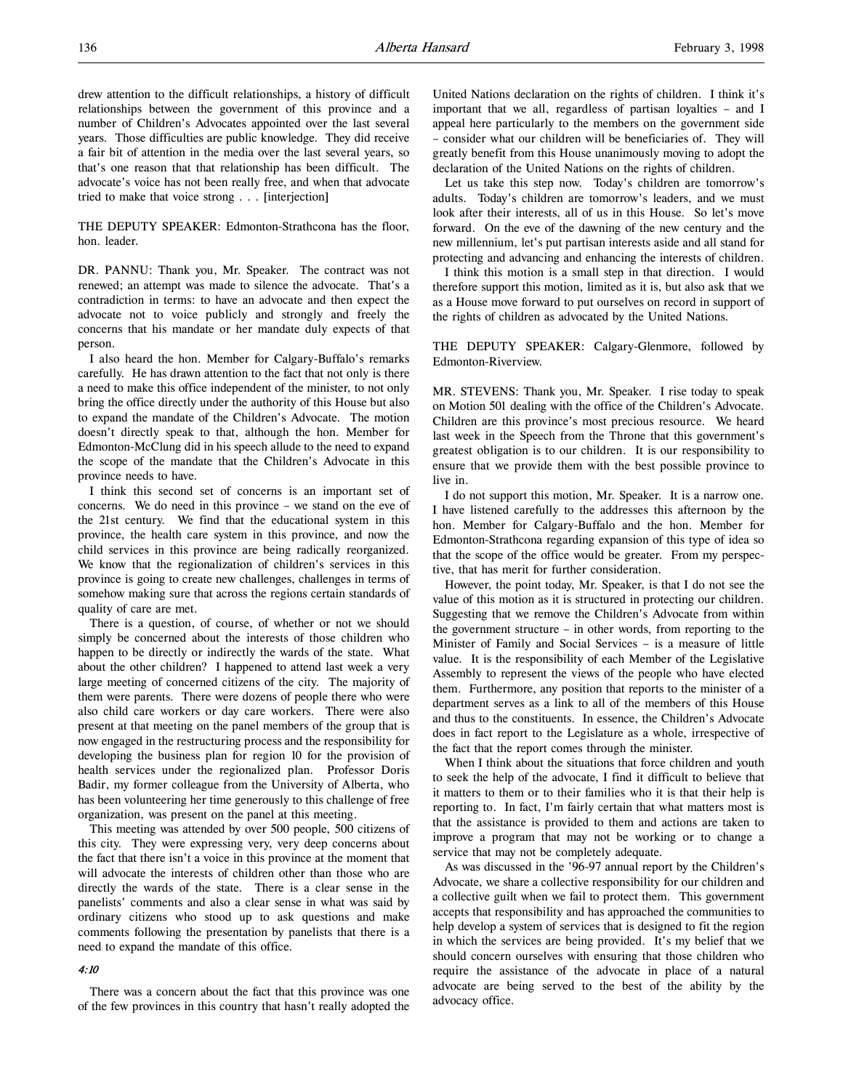drew attention to the difficult relationships, a history of difficult relationships between the government of this province and a number of Children's Advocates appointed over the last several years. Those difficulties are public knowledge. They did receive a fair bit of attention in the media over the last several years, so that's one reason that that relationship has been difficult. The advocate's voice has not been really free, and when that advocate tried to make that voice strong . . . [interjection]

THE DEPUTY SPEAKER: Edmonton-Strathcona has the floor, hon. leader.

DR. PANNU: Thank you, Mr. Speaker. The contract was not renewed; an attempt was made to silence the advocate. That's a contradiction in terms: to have an advocate and then expect the advocate not to voice publicly and strongly and freely the concerns that his mandate or her mandate duly expects of that person.

I also heard the hon. Member for Calgary-Buffalo's remarks carefully. He has drawn attention to the fact that not only is there a need to make this office independent of the minister, to not only bring the office directly under the authority of this House but also to expand the mandate of the Children's Advocate. The motion doesn't directly speak to that, although the hon. Member for Edmonton-McClung did in his speech allude to the need to expand the scope of the mandate that the Children's Advocate in this province needs to have.

I think this second set of concerns is an important set of concerns. We do need in this province – we stand on the eve of the 21st century. We find that the educational system in this province, the health care system in this province, and now the child services in this province are being radically reorganized. We know that the regionalization of children's services in this province is going to create new challenges, challenges in terms of somehow making sure that across the regions certain standards of quality of care are met.

There is a question, of course, of whether or not we should simply be concerned about the interests of those children who happen to be directly or indirectly the wards of the state. What about the other children? I happened to attend last week a very large meeting of concerned citizens of the city. The majority of them were parents. There were dozens of people there who were also child care workers or day care workers. There were also present at that meeting on the panel members of the group that is now engaged in the restructuring process and the responsibility for developing the business plan for region 10 for the provision of health services under the regionalized plan. Professor Doris Badir, my former colleague from the University of Alberta, who has been volunteering her time generously to this challenge of free organization, was present on the panel at this meeting.

This meeting was attended by over 500 people, 500 citizens of this city. They were expressing very, very deep concerns about the fact that there isn't a voice in this province at the moment that will advocate the interests of children other than those who are directly the wards of the state. There is a clear sense in the panelists' comments and also a clear sense in what was said by ordinary citizens who stood up to ask questions and make comments following the presentation by panelists that there is a need to expand the mandate of this office.

#### 4:10

There was a concern about the fact that this province was one of the few provinces in this country that hasn't really adopted the United Nations declaration on the rights of children. I think it's important that we all, regardless of partisan loyalties – and I appeal here particularly to the members on the government side – consider what our children will be beneficiaries of. They will greatly benefit from this House unanimously moving to adopt the declaration of the United Nations on the rights of children.

Let us take this step now. Today's children are tomorrow's adults. Today's children are tomorrow's leaders, and we must look after their interests, all of us in this House. So let's move forward. On the eve of the dawning of the new century and the new millennium, let's put partisan interests aside and all stand for protecting and advancing and enhancing the interests of children.

I think this motion is a small step in that direction. I would therefore support this motion, limited as it is, but also ask that we as a House move forward to put ourselves on record in support of the rights of children as advocated by the United Nations.

THE DEPUTY SPEAKER: Calgary-Glenmore, followed by Edmonton-Riverview.

MR. STEVENS: Thank you, Mr. Speaker. I rise today to speak on Motion 501 dealing with the office of the Children's Advocate. Children are this province's most precious resource. We heard last week in the Speech from the Throne that this government's greatest obligation is to our children. It is our responsibility to ensure that we provide them with the best possible province to live in.

I do not support this motion, Mr. Speaker. It is a narrow one. I have listened carefully to the addresses this afternoon by the hon. Member for Calgary-Buffalo and the hon. Member for Edmonton-Strathcona regarding expansion of this type of idea so that the scope of the office would be greater. From my perspective, that has merit for further consideration.

However, the point today, Mr. Speaker, is that I do not see the value of this motion as it is structured in protecting our children. Suggesting that we remove the Children's Advocate from within the government structure – in other words, from reporting to the Minister of Family and Social Services – is a measure of little value. It is the responsibility of each Member of the Legislative Assembly to represent the views of the people who have elected them. Furthermore, any position that reports to the minister of a department serves as a link to all of the members of this House and thus to the constituents. In essence, the Children's Advocate does in fact report to the Legislature as a whole, irrespective of the fact that the report comes through the minister.

When I think about the situations that force children and youth to seek the help of the advocate, I find it difficult to believe that it matters to them or to their families who it is that their help is reporting to. In fact, I'm fairly certain that what matters most is that the assistance is provided to them and actions are taken to improve a program that may not be working or to change a service that may not be completely adequate.

As was discussed in the '96-97 annual report by the Children's Advocate, we share a collective responsibility for our children and a collective guilt when we fail to protect them. This government accepts that responsibility and has approached the communities to help develop a system of services that is designed to fit the region in which the services are being provided. It's my belief that we should concern ourselves with ensuring that those children who require the assistance of the advocate in place of a natural advocate are being served to the best of the ability by the advocacy office.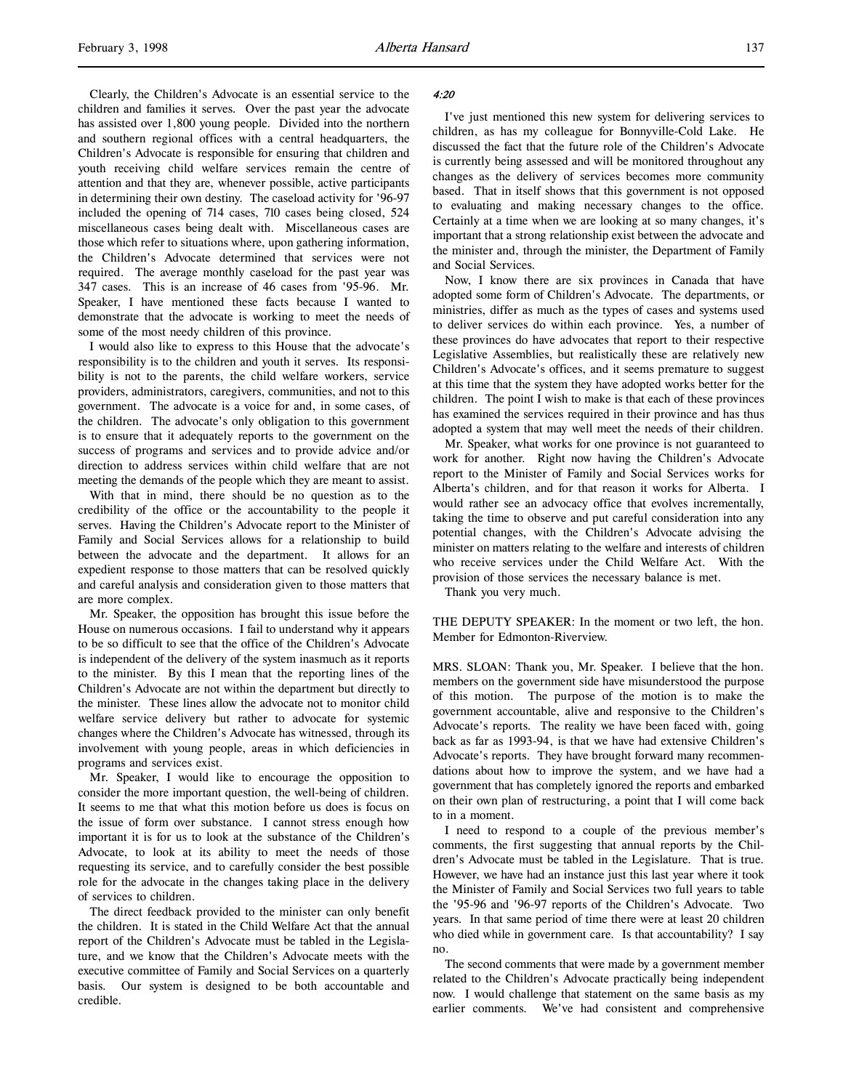Clearly, the Children's Advocate is an essential service to the children and families it serves. Over the past year the advocate has assisted over 1,800 young people. Divided into the northern and southern regional offices with a central headquarters, the Children's Advocate is responsible for ensuring that children and youth receiving child welfare services remain the centre of attention and that they are, whenever possible, active participants in determining their own destiny. The caseload activity for '96-97 included the opening of 714 cases, 710 cases being closed, 524 miscellaneous cases being dealt with. Miscellaneous cases are those which refer to situations where, upon gathering information, the Children's Advocate determined that services were not required. The average monthly caseload for the past year was 347 cases. This is an increase of 46 cases from '95-96. Mr. Speaker, I have mentioned these facts because I wanted to demonstrate that the advocate is working to meet the needs of some of the most needy children of this province.

I would also like to express to this House that the advocate's responsibility is to the children and youth it serves. Its responsibility is not to the parents, the child welfare workers, service providers, administrators, caregivers, communities, and not to this government. The advocate is a voice for and, in some cases, of the children. The advocate's only obligation to this government is to ensure that it adequately reports to the government on the success of programs and services and to provide advice and/or direction to address services within child welfare that are not meeting the demands of the people which they are meant to assist.

With that in mind, there should be no question as to the credibility of the office or the accountability to the people it serves. Having the Children's Advocate report to the Minister of Family and Social Services allows for a relationship to build between the advocate and the department. It allows for an expedient response to those matters that can be resolved quickly and careful analysis and consideration given to those matters that are more complex.

Mr. Speaker, the opposition has brought this issue before the House on numerous occasions. I fail to understand why it appears to be so difficult to see that the office of the Children's Advocate is independent of the delivery of the system inasmuch as it reports to the minister. By this I mean that the reporting lines of the Children's Advocate are not within the department but directly to the minister. These lines allow the advocate not to monitor child welfare service delivery but rather to advocate for systemic changes where the Children's Advocate has witnessed, through its involvement with young people, areas in which deficiencies in programs and services exist.

Mr. Speaker, I would like to encourage the opposition to consider the more important question, the well-being of children. It seems to me that what this motion before us does is focus on the issue of form over substance. I cannot stress enough how important it is for us to look at the substance of the Children's Advocate, to look at its ability to meet the needs of those requesting its service, and to carefully consider the best possible role for the advocate in the changes taking place in the delivery of services to children.

The direct feedback provided to the minister can only benefit the children. It is stated in the Child Welfare Act that the annual report of the Children's Advocate must be tabled in the Legislature, and we know that the Children's Advocate meets with the executive committee of Family and Social Services on a quarterly basis. Our system is designed to be both accountable and credible.

#### 4:20

I've just mentioned this new system for delivering services to children, as has my colleague for Bonnyville-Cold Lake. He discussed the fact that the future role of the Children's Advocate is currently being assessed and will be monitored throughout any changes as the delivery of services becomes more community based. That in itself shows that this government is not opposed to evaluating and making necessary changes to the office. Certainly at a time when we are looking at so many changes, it's important that a strong relationship exist between the advocate and the minister and, through the minister, the Department of Family and Social Services.

Now, I know there are six provinces in Canada that have adopted some form of Children's Advocate. The departments, or ministries, differ as much as the types of cases and systems used to deliver services do within each province. Yes, a number of these provinces do have advocates that report to their respective Legislative Assemblies, but realistically these are relatively new Children's Advocate's offices, and it seems premature to suggest at this time that the system they have adopted works better for the children. The point I wish to make is that each of these provinces has examined the services required in their province and has thus adopted a system that may well meet the needs of their children.

Mr. Speaker, what works for one province is not guaranteed to work for another. Right now having the Children's Advocate report to the Minister of Family and Social Services works for Alberta's children, and for that reason it works for Alberta. I would rather see an advocacy office that evolves incrementally, taking the time to observe and put careful consideration into any potential changes, with the Children's Advocate advising the minister on matters relating to the welfare and interests of children who receive services under the Child Welfare Act. With the provision of those services the necessary balance is met.

Thank you very much.

THE DEPUTY SPEAKER: In the moment or two left, the hon. Member for Edmonton-Riverview.

MRS. SLOAN: Thank you, Mr. Speaker. I believe that the hon. members on the government side have misunderstood the purpose of this motion. The purpose of the motion is to make the government accountable, alive and responsive to the Children's Advocate's reports. The reality we have been faced with, going back as far as 1993-94, is that we have had extensive Children's Advocate's reports. They have brought forward many recommendations about how to improve the system, and we have had a government that has completely ignored the reports and embarked on their own plan of restructuring, a point that I will come back to in a moment.

I need to respond to a couple of the previous member's comments, the first suggesting that annual reports by the Children's Advocate must be tabled in the Legislature. That is true. However, we have had an instance just this last year where it took the Minister of Family and Social Services two full years to table the '95-96 and '96-97 reports of the Children's Advocate. Two years. In that same period of time there were at least 20 children who died while in government care. Is that accountability? I say no.

The second comments that were made by a government member related to the Children's Advocate practically being independent now. I would challenge that statement on the same basis as my earlier comments. We've had consistent and comprehensive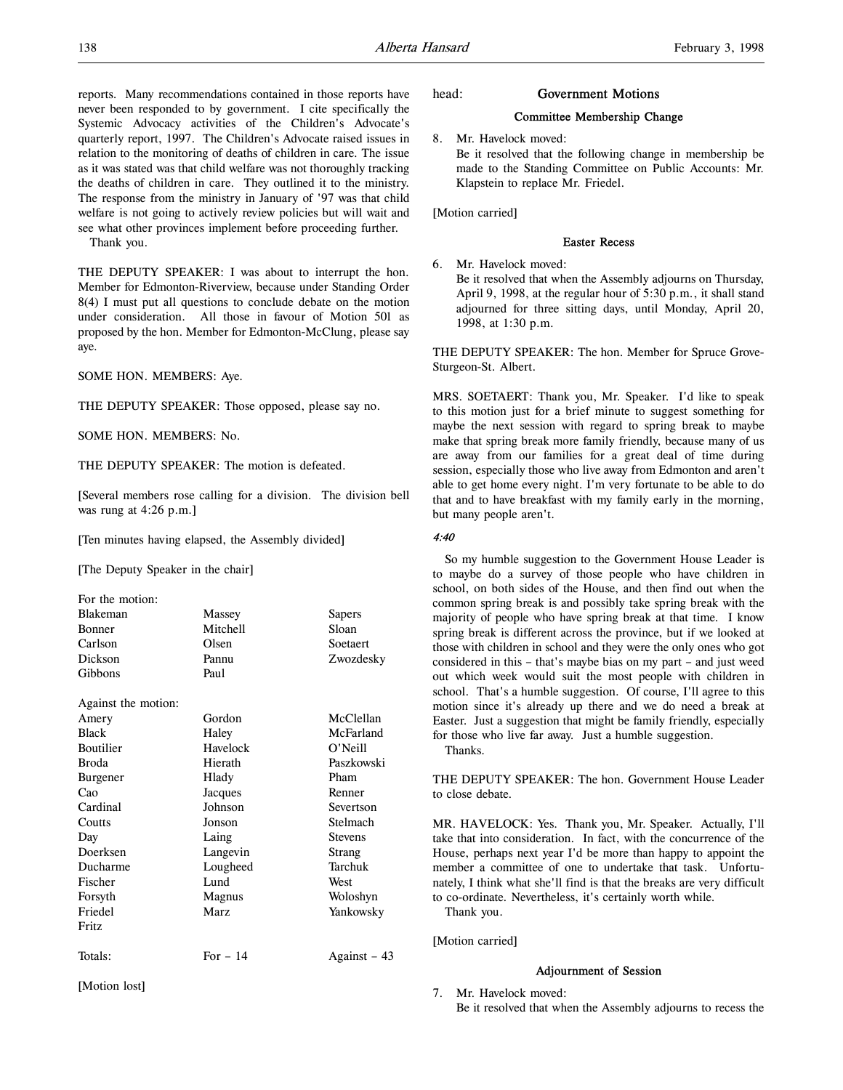reports. Many recommendations contained in those reports have never been responded to by government. I cite specifically the Systemic Advocacy activities of the Children's Advocate's quarterly report, 1997. The Children's Advocate raised issues in relation to the monitoring of deaths of children in care. The issue as it was stated was that child welfare was not thoroughly tracking the deaths of children in care. They outlined it to the ministry. The response from the ministry in January of '97 was that child welfare is not going to actively review policies but will wait and see what other provinces implement before proceeding further.

Thank you.

THE DEPUTY SPEAKER: I was about to interrupt the hon. Member for Edmonton-Riverview, because under Standing Order 8(4) I must put all questions to conclude debate on the motion under consideration. All those in favour of Motion 501 as proposed by the hon. Member for Edmonton-McClung, please say aye.

SOME HON. MEMBERS: Aye.

THE DEPUTY SPEAKER: Those opposed, please say no.

SOME HON. MEMBERS: No.

THE DEPUTY SPEAKER: The motion is defeated.

[Several members rose calling for a division. The division bell was rung at 4:26 p.m.]

[Ten minutes having elapsed, the Assembly divided]

[The Deputy Speaker in the chair]

| For the motion:     |           |                |
|---------------------|-----------|----------------|
| Blakeman            | Massey    | Sapers         |
| Bonner              | Mitchell  | Sloan          |
| Carlson             | Olsen     | Soetaert       |
| Dickson             | Pannu     | Zwozdesky      |
| Gibbons             | Paul      |                |
| Against the motion: |           |                |
| Amery               | Gordon    | McClellan      |
| <b>Black</b>        | Haley     | McFarland      |
| <b>Boutilier</b>    | Havelock  | $O'$ Neill     |
| <b>Broda</b>        | Hierath   | Paszkowski     |
| Burgener            | Hlady     | Pham           |
| Cao                 | Jacques   | Renner         |
| Cardinal            | Johnson   | Severtson      |
| Coutts              | Jonson    | Stelmach       |
| Day                 | Laing     | <b>Stevens</b> |
| Doerksen            | Langevin  | Strang         |
| Ducharme            | Lougheed  | Tarchuk        |
| Fischer             | Lund      | West           |
| Forsyth             | Magnus    | Woloshyn       |
| Friedel             | Marz      | Yankowsky      |
| Fritz               |           |                |
| Totals:             | For $-14$ | Against – 43   |

[Motion lost]

#### head: Government Motions

# Committee Membership Change

8. Mr. Havelock moved:

Be it resolved that the following change in membership be made to the Standing Committee on Public Accounts: Mr. Klapstein to replace Mr. Friedel.

[Motion carried]

## Easter Recess

6. Mr. Havelock moved:

Be it resolved that when the Assembly adjourns on Thursday, April 9, 1998, at the regular hour of 5:30 p.m., it shall stand adjourned for three sitting days, until Monday, April 20, 1998, at 1:30 p.m.

THE DEPUTY SPEAKER: The hon. Member for Spruce Grove-Sturgeon-St. Albert.

MRS. SOETAERT: Thank you, Mr. Speaker. I'd like to speak to this motion just for a brief minute to suggest something for maybe the next session with regard to spring break to maybe make that spring break more family friendly, because many of us are away from our families for a great deal of time during session, especially those who live away from Edmonton and aren't able to get home every night. I'm very fortunate to be able to do that and to have breakfast with my family early in the morning, but many people aren't.

## 4:40

So my humble suggestion to the Government House Leader is to maybe do a survey of those people who have children in school, on both sides of the House, and then find out when the common spring break is and possibly take spring break with the majority of people who have spring break at that time. I know spring break is different across the province, but if we looked at those with children in school and they were the only ones who got considered in this – that's maybe bias on my part – and just weed out which week would suit the most people with children in school. That's a humble suggestion. Of course, I'll agree to this motion since it's already up there and we do need a break at Easter. Just a suggestion that might be family friendly, especially for those who live far away. Just a humble suggestion. Thanks.

THE DEPUTY SPEAKER: The hon. Government House Leader to close debate.

MR. HAVELOCK: Yes. Thank you, Mr. Speaker. Actually, I'll take that into consideration. In fact, with the concurrence of the House, perhaps next year I'd be more than happy to appoint the member a committee of one to undertake that task. Unfortunately, I think what she'll find is that the breaks are very difficult to co-ordinate. Nevertheless, it's certainly worth while. Thank you.

[Motion carried]

#### Adjournment of Session

7. Mr. Havelock moved: Be it resolved that when the Assembly adjourns to recess the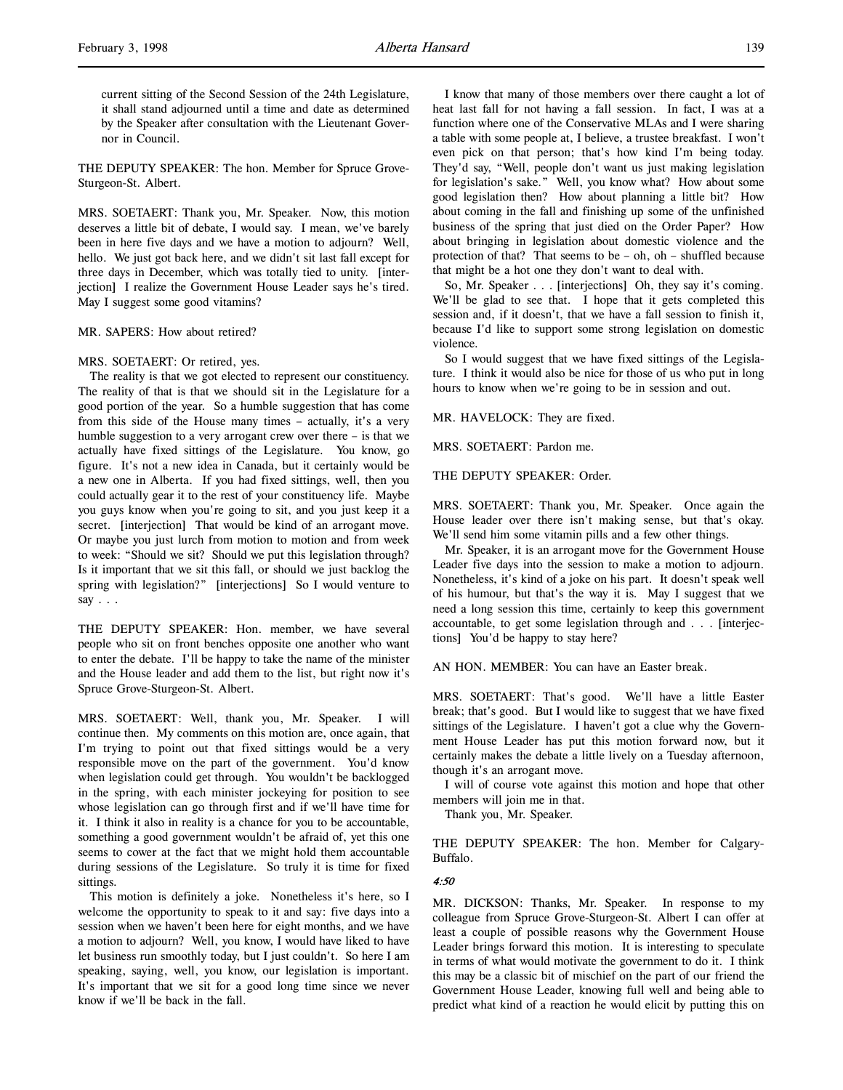current sitting of the Second Session of the 24th Legislature, it shall stand adjourned until a time and date as determined by the Speaker after consultation with the Lieutenant Governor in Council.

THE DEPUTY SPEAKER: The hon. Member for Spruce Grove-Sturgeon-St. Albert.

MRS. SOETAERT: Thank you, Mr. Speaker. Now, this motion deserves a little bit of debate, I would say. I mean, we've barely been in here five days and we have a motion to adjourn? Well, hello. We just got back here, and we didn't sit last fall except for three days in December, which was totally tied to unity. [interjection] I realize the Government House Leader says he's tired. May I suggest some good vitamins?

MR. SAPERS: How about retired?

#### MRS. SOETAERT: Or retired, yes.

The reality is that we got elected to represent our constituency. The reality of that is that we should sit in the Legislature for a good portion of the year. So a humble suggestion that has come from this side of the House many times – actually, it's a very humble suggestion to a very arrogant crew over there – is that we actually have fixed sittings of the Legislature. You know, go figure. It's not a new idea in Canada, but it certainly would be a new one in Alberta. If you had fixed sittings, well, then you could actually gear it to the rest of your constituency life. Maybe you guys know when you're going to sit, and you just keep it a secret. [interjection] That would be kind of an arrogant move. Or maybe you just lurch from motion to motion and from week to week: "Should we sit? Should we put this legislation through? Is it important that we sit this fall, or should we just backlog the spring with legislation?" [interjections] So I would venture to say . . .

THE DEPUTY SPEAKER: Hon. member, we have several people who sit on front benches opposite one another who want to enter the debate. I'll be happy to take the name of the minister and the House leader and add them to the list, but right now it's Spruce Grove-Sturgeon-St. Albert.

MRS. SOETAERT: Well, thank you, Mr. Speaker. I will continue then. My comments on this motion are, once again, that I'm trying to point out that fixed sittings would be a very responsible move on the part of the government. You'd know when legislation could get through. You wouldn't be backlogged in the spring, with each minister jockeying for position to see whose legislation can go through first and if we'll have time for it. I think it also in reality is a chance for you to be accountable, something a good government wouldn't be afraid of, yet this one seems to cower at the fact that we might hold them accountable during sessions of the Legislature. So truly it is time for fixed sittings.

This motion is definitely a joke. Nonetheless it's here, so I welcome the opportunity to speak to it and say: five days into a session when we haven't been here for eight months, and we have a motion to adjourn? Well, you know, I would have liked to have let business run smoothly today, but I just couldn't. So here I am speaking, saying, well, you know, our legislation is important. It's important that we sit for a good long time since we never know if we'll be back in the fall.

I know that many of those members over there caught a lot of heat last fall for not having a fall session. In fact, I was at a function where one of the Conservative MLAs and I were sharing a table with some people at, I believe, a trustee breakfast. I won't even pick on that person; that's how kind I'm being today. They'd say, "Well, people don't want us just making legislation for legislation's sake." Well, you know what? How about some good legislation then? How about planning a little bit? How about coming in the fall and finishing up some of the unfinished business of the spring that just died on the Order Paper? How about bringing in legislation about domestic violence and the protection of that? That seems to be – oh, oh – shuffled because that might be a hot one they don't want to deal with.

So, Mr. Speaker . . . [interjections] Oh, they say it's coming. We'll be glad to see that. I hope that it gets completed this session and, if it doesn't, that we have a fall session to finish it, because I'd like to support some strong legislation on domestic violence.

So I would suggest that we have fixed sittings of the Legislature. I think it would also be nice for those of us who put in long hours to know when we're going to be in session and out.

#### MR. HAVELOCK: They are fixed.

MRS. SOETAERT: Pardon me.

## THE DEPUTY SPEAKER: Order.

MRS. SOETAERT: Thank you, Mr. Speaker. Once again the House leader over there isn't making sense, but that's okay. We'll send him some vitamin pills and a few other things.

Mr. Speaker, it is an arrogant move for the Government House Leader five days into the session to make a motion to adjourn. Nonetheless, it's kind of a joke on his part. It doesn't speak well of his humour, but that's the way it is. May I suggest that we need a long session this time, certainly to keep this government accountable, to get some legislation through and . . . [interjections] You'd be happy to stay here?

AN HON. MEMBER: You can have an Easter break.

MRS. SOETAERT: That's good. We'll have a little Easter break; that's good. But I would like to suggest that we have fixed sittings of the Legislature. I haven't got a clue why the Government House Leader has put this motion forward now, but it certainly makes the debate a little lively on a Tuesday afternoon, though it's an arrogant move.

I will of course vote against this motion and hope that other members will join me in that.

Thank you, Mr. Speaker.

THE DEPUTY SPEAKER: The hon. Member for Calgary-Buffalo.

#### 4:50

MR. DICKSON: Thanks, Mr. Speaker. In response to my colleague from Spruce Grove-Sturgeon-St. Albert I can offer at least a couple of possible reasons why the Government House Leader brings forward this motion. It is interesting to speculate in terms of what would motivate the government to do it. I think this may be a classic bit of mischief on the part of our friend the Government House Leader, knowing full well and being able to predict what kind of a reaction he would elicit by putting this on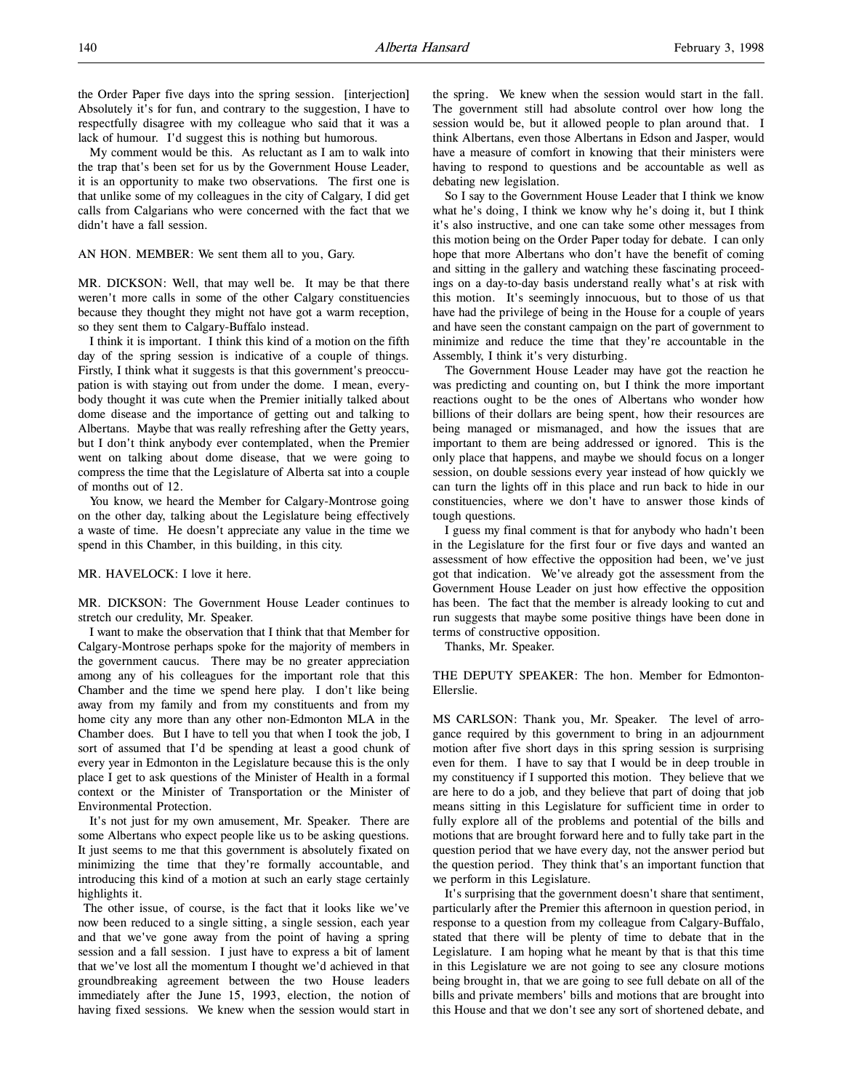the Order Paper five days into the spring session. [interjection] Absolutely it's for fun, and contrary to the suggestion, I have to respectfully disagree with my colleague who said that it was a lack of humour. I'd suggest this is nothing but humorous.

My comment would be this. As reluctant as I am to walk into the trap that's been set for us by the Government House Leader, it is an opportunity to make two observations. The first one is that unlike some of my colleagues in the city of Calgary, I did get calls from Calgarians who were concerned with the fact that we didn't have a fall session.

AN HON. MEMBER: We sent them all to you, Gary.

MR. DICKSON: Well, that may well be. It may be that there weren't more calls in some of the other Calgary constituencies because they thought they might not have got a warm reception, so they sent them to Calgary-Buffalo instead.

I think it is important. I think this kind of a motion on the fifth day of the spring session is indicative of a couple of things. Firstly, I think what it suggests is that this government's preoccupation is with staying out from under the dome. I mean, everybody thought it was cute when the Premier initially talked about dome disease and the importance of getting out and talking to Albertans. Maybe that was really refreshing after the Getty years, but I don't think anybody ever contemplated, when the Premier went on talking about dome disease, that we were going to compress the time that the Legislature of Alberta sat into a couple of months out of 12.

You know, we heard the Member for Calgary-Montrose going on the other day, talking about the Legislature being effectively a waste of time. He doesn't appreciate any value in the time we spend in this Chamber, in this building, in this city.

## MR. HAVELOCK: I love it here.

MR. DICKSON: The Government House Leader continues to stretch our credulity, Mr. Speaker.

I want to make the observation that I think that that Member for Calgary-Montrose perhaps spoke for the majority of members in the government caucus. There may be no greater appreciation among any of his colleagues for the important role that this Chamber and the time we spend here play. I don't like being away from my family and from my constituents and from my home city any more than any other non-Edmonton MLA in the Chamber does. But I have to tell you that when I took the job, I sort of assumed that I'd be spending at least a good chunk of every year in Edmonton in the Legislature because this is the only place I get to ask questions of the Minister of Health in a formal context or the Minister of Transportation or the Minister of Environmental Protection.

It's not just for my own amusement, Mr. Speaker. There are some Albertans who expect people like us to be asking questions. It just seems to me that this government is absolutely fixated on minimizing the time that they're formally accountable, and introducing this kind of a motion at such an early stage certainly highlights it.

 The other issue, of course, is the fact that it looks like we've now been reduced to a single sitting, a single session, each year and that we've gone away from the point of having a spring session and a fall session. I just have to express a bit of lament that we've lost all the momentum I thought we'd achieved in that groundbreaking agreement between the two House leaders immediately after the June 15, 1993, election, the notion of having fixed sessions. We knew when the session would start in

the spring. We knew when the session would start in the fall. The government still had absolute control over how long the session would be, but it allowed people to plan around that. I think Albertans, even those Albertans in Edson and Jasper, would have a measure of comfort in knowing that their ministers were having to respond to questions and be accountable as well as debating new legislation.

So I say to the Government House Leader that I think we know what he's doing, I think we know why he's doing it, but I think it's also instructive, and one can take some other messages from this motion being on the Order Paper today for debate. I can only hope that more Albertans who don't have the benefit of coming and sitting in the gallery and watching these fascinating proceedings on a day-to-day basis understand really what's at risk with this motion. It's seemingly innocuous, but to those of us that have had the privilege of being in the House for a couple of years and have seen the constant campaign on the part of government to minimize and reduce the time that they're accountable in the Assembly, I think it's very disturbing.

The Government House Leader may have got the reaction he was predicting and counting on, but I think the more important reactions ought to be the ones of Albertans who wonder how billions of their dollars are being spent, how their resources are being managed or mismanaged, and how the issues that are important to them are being addressed or ignored. This is the only place that happens, and maybe we should focus on a longer session, on double sessions every year instead of how quickly we can turn the lights off in this place and run back to hide in our constituencies, where we don't have to answer those kinds of tough questions.

I guess my final comment is that for anybody who hadn't been in the Legislature for the first four or five days and wanted an assessment of how effective the opposition had been, we've just got that indication. We've already got the assessment from the Government House Leader on just how effective the opposition has been. The fact that the member is already looking to cut and run suggests that maybe some positive things have been done in terms of constructive opposition.

Thanks, Mr. Speaker.

THE DEPUTY SPEAKER: The hon. Member for Edmonton-Ellerslie.

MS CARLSON: Thank you, Mr. Speaker. The level of arrogance required by this government to bring in an adjournment motion after five short days in this spring session is surprising even for them. I have to say that I would be in deep trouble in my constituency if I supported this motion. They believe that we are here to do a job, and they believe that part of doing that job means sitting in this Legislature for sufficient time in order to fully explore all of the problems and potential of the bills and motions that are brought forward here and to fully take part in the question period that we have every day, not the answer period but the question period. They think that's an important function that we perform in this Legislature.

It's surprising that the government doesn't share that sentiment, particularly after the Premier this afternoon in question period, in response to a question from my colleague from Calgary-Buffalo, stated that there will be plenty of time to debate that in the Legislature. I am hoping what he meant by that is that this time in this Legislature we are not going to see any closure motions being brought in, that we are going to see full debate on all of the bills and private members' bills and motions that are brought into this House and that we don't see any sort of shortened debate, and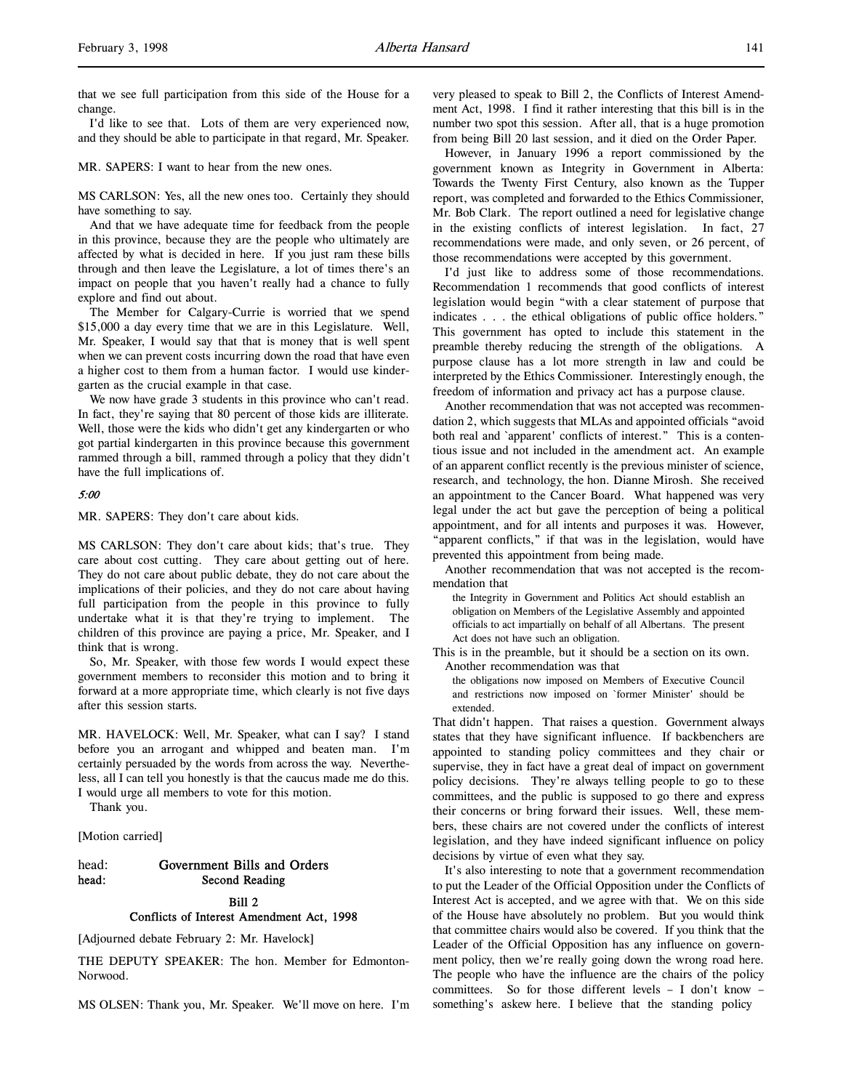I'd like to see that. Lots of them are very experienced now, and they should be able to participate in that regard, Mr. Speaker.

MR. SAPERS: I want to hear from the new ones.

MS CARLSON: Yes, all the new ones too. Certainly they should have something to say.

And that we have adequate time for feedback from the people in this province, because they are the people who ultimately are affected by what is decided in here. If you just ram these bills through and then leave the Legislature, a lot of times there's an impact on people that you haven't really had a chance to fully explore and find out about.

The Member for Calgary-Currie is worried that we spend \$15,000 a day every time that we are in this Legislature. Well, Mr. Speaker, I would say that that is money that is well spent when we can prevent costs incurring down the road that have even a higher cost to them from a human factor. I would use kindergarten as the crucial example in that case.

We now have grade 3 students in this province who can't read. In fact, they're saying that 80 percent of those kids are illiterate. Well, those were the kids who didn't get any kindergarten or who got partial kindergarten in this province because this government rammed through a bill, rammed through a policy that they didn't have the full implications of.

### 5:00

MR. SAPERS: They don't care about kids.

MS CARLSON: They don't care about kids; that's true. They care about cost cutting. They care about getting out of here. They do not care about public debate, they do not care about the implications of their policies, and they do not care about having full participation from the people in this province to fully undertake what it is that they're trying to implement. The children of this province are paying a price, Mr. Speaker, and I think that is wrong.

So, Mr. Speaker, with those few words I would expect these government members to reconsider this motion and to bring it forward at a more appropriate time, which clearly is not five days after this session starts.

MR. HAVELOCK: Well, Mr. Speaker, what can I say? I stand before you an arrogant and whipped and beaten man. I'm certainly persuaded by the words from across the way. Nevertheless, all I can tell you honestly is that the caucus made me do this. I would urge all members to vote for this motion.

Thank you.

[Motion carried]

# head: Government Bills and Orders head: Second Reading

# Bill 2

# Conflicts of Interest Amendment Act, 1998

[Adjourned debate February 2: Mr. Havelock]

THE DEPUTY SPEAKER: The hon. Member for Edmonton-Norwood.

MS OLSEN: Thank you, Mr. Speaker. We'll move on here. I'm

very pleased to speak to Bill 2, the Conflicts of Interest Amendment Act, 1998. I find it rather interesting that this bill is in the number two spot this session. After all, that is a huge promotion from being Bill 20 last session, and it died on the Order Paper.

However, in January 1996 a report commissioned by the government known as Integrity in Government in Alberta: Towards the Twenty First Century, also known as the Tupper report, was completed and forwarded to the Ethics Commissioner, Mr. Bob Clark. The report outlined a need for legislative change in the existing conflicts of interest legislation. In fact, 27 recommendations were made, and only seven, or 26 percent, of those recommendations were accepted by this government.

I'd just like to address some of those recommendations. Recommendation 1 recommends that good conflicts of interest legislation would begin "with a clear statement of purpose that indicates . . . the ethical obligations of public office holders." This government has opted to include this statement in the preamble thereby reducing the strength of the obligations. A purpose clause has a lot more strength in law and could be interpreted by the Ethics Commissioner. Interestingly enough, the freedom of information and privacy act has a purpose clause.

Another recommendation that was not accepted was recommendation 2, which suggests that MLAs and appointed officials "avoid both real and `apparent' conflicts of interest." This is a contentious issue and not included in the amendment act. An example of an apparent conflict recently is the previous minister of science, research, and technology, the hon. Dianne Mirosh. She received an appointment to the Cancer Board. What happened was very legal under the act but gave the perception of being a political appointment, and for all intents and purposes it was. However, "apparent conflicts," if that was in the legislation, would have prevented this appointment from being made.

Another recommendation that was not accepted is the recommendation that

the Integrity in Government and Politics Act should establish an obligation on Members of the Legislative Assembly and appointed officials to act impartially on behalf of all Albertans. The present Act does not have such an obligation.

This is in the preamble, but it should be a section on its own. Another recommendation was that

the obligations now imposed on Members of Executive Council and restrictions now imposed on `former Minister' should be extended.

That didn't happen. That raises a question. Government always states that they have significant influence. If backbenchers are appointed to standing policy committees and they chair or supervise, they in fact have a great deal of impact on government policy decisions. They're always telling people to go to these committees, and the public is supposed to go there and express their concerns or bring forward their issues. Well, these members, these chairs are not covered under the conflicts of interest legislation, and they have indeed significant influence on policy decisions by virtue of even what they say.

It's also interesting to note that a government recommendation to put the Leader of the Official Opposition under the Conflicts of Interest Act is accepted, and we agree with that. We on this side of the House have absolutely no problem. But you would think that committee chairs would also be covered. If you think that the Leader of the Official Opposition has any influence on government policy, then we're really going down the wrong road here. The people who have the influence are the chairs of the policy committees. So for those different levels – I don't know – something's askew here. I believe that the standing policy